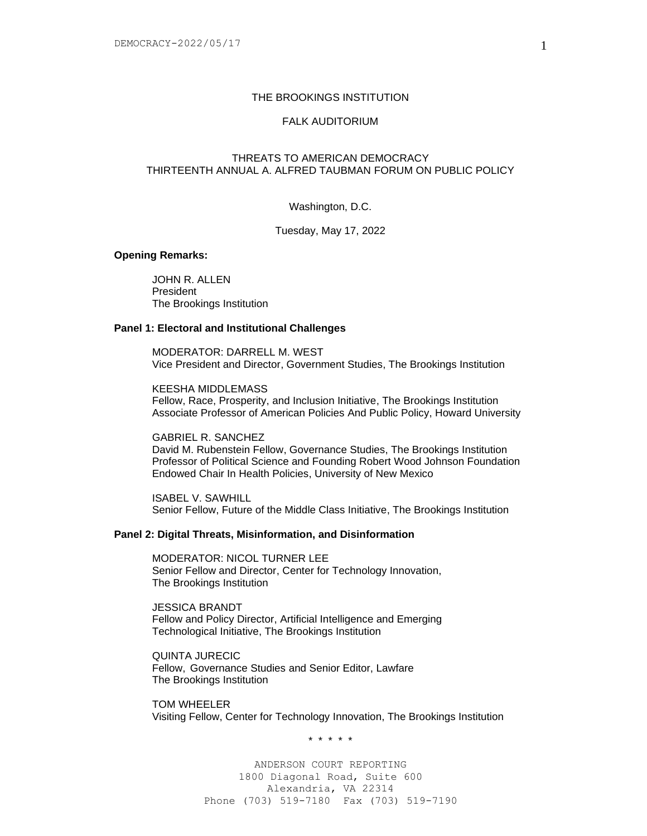## THE BROOKINGS INSTITUTION

# FALK AUDITORIUM

# THREATS TO AMERICAN DEMOCRACY THIRTEENTH ANNUAL A. ALFRED TAUBMAN FORUM ON PUBLIC POLICY

Washington, D.C.

Tuesday, May 17, 2022

# **Opening Remarks:**

JOHN R. ALLEN President The Brookings Institution

#### **Panel 1: Electoral and Institutional Challenges**

MODERATOR: DARRELL M. WEST Vice President and Director, Government Studies, The Brookings Institution

KEESHA MIDDLEMASS Fellow, Race, Prosperity, and Inclusion Initiative, The Brookings Institution Associate Professor of American Policies And Public Policy, Howard University

GABRIEL R. SANCHEZ David M. Rubenstein Fellow, Governance Studies, The Brookings Institution Professor of Political Science and Founding Robert Wood Johnson Foundation

Endowed Chair In Health Policies, University of New Mexico

ISABEL V. SAWHILL Senior Fellow, Future of the Middle Class Initiative, The Brookings Institution

### **Panel 2: Digital Threats, Misinformation, and Disinformation**

MODERATOR: NICOL TURNER LEE Senior Fellow and Director, Center for Technology Innovation, The Brookings Institution

JESSICA BRANDT Fellow and Policy Director, Artificial Intelligence and Emerging Technological Initiative, The Brookings Institution

QUINTA JURECIC Fellow, Governance Studies and Senior Editor, Lawfare The Brookings Institution

TOM WHEELER Visiting Fellow, Center for Technology Innovation, The Brookings Institution

\* \* \* \* \*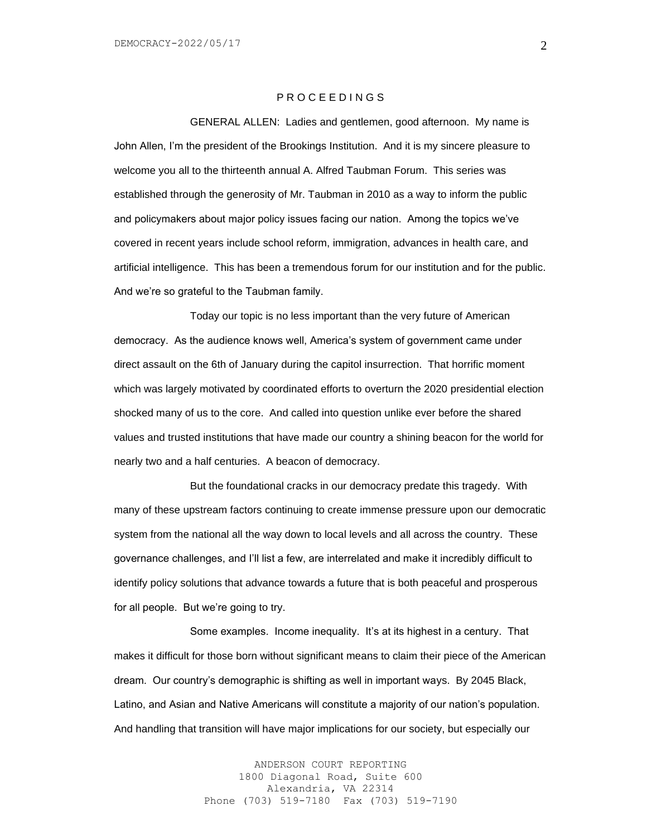## P R O C E E D I N G S

GENERAL ALLEN: Ladies and gentlemen, good afternoon. My name is John Allen, I'm the president of the Brookings Institution. And it is my sincere pleasure to welcome you all to the thirteenth annual A. Alfred Taubman Forum. This series was established through the generosity of Mr. Taubman in 2010 as a way to inform the public and policymakers about major policy issues facing our nation. Among the topics we've covered in recent years include school reform, immigration, advances in health care, and artificial intelligence. This has been a tremendous forum for our institution and for the public. And we're so grateful to the Taubman family.

Today our topic is no less important than the very future of American democracy. As the audience knows well, America's system of government came under direct assault on the 6th of January during the capitol insurrection. That horrific moment which was largely motivated by coordinated efforts to overturn the 2020 presidential election shocked many of us to the core. And called into question unlike ever before the shared values and trusted institutions that have made our country a shining beacon for the world for nearly two and a half centuries. A beacon of democracy.

But the foundational cracks in our democracy predate this tragedy. With many of these upstream factors continuing to create immense pressure upon our democratic system from the national all the way down to local levels and all across the country. These governance challenges, and I'll list a few, are interrelated and make it incredibly difficult to identify policy solutions that advance towards a future that is both peaceful and prosperous for all people. But we're going to try.

Some examples. Income inequality. It's at its highest in a century. That makes it difficult for those born without significant means to claim their piece of the American dream. Our country's demographic is shifting as well in important ways. By 2045 Black, Latino, and Asian and Native Americans will constitute a majority of our nation's population. And handling that transition will have major implications for our society, but especially our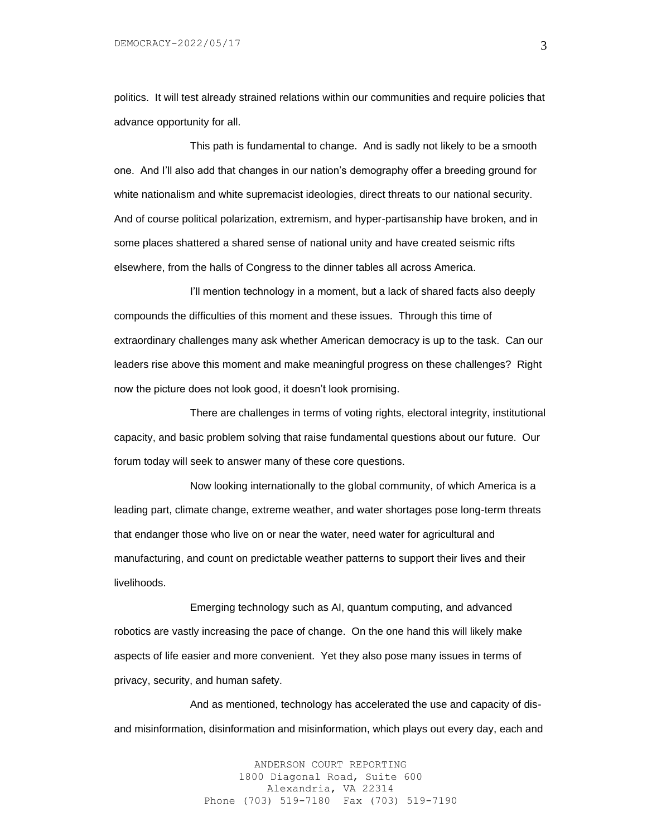politics. It will test already strained relations within our communities and require policies that advance opportunity for all.

This path is fundamental to change. And is sadly not likely to be a smooth one. And I'll also add that changes in our nation's demography offer a breeding ground for white nationalism and white supremacist ideologies, direct threats to our national security. And of course political polarization, extremism, and hyper-partisanship have broken, and in some places shattered a shared sense of national unity and have created seismic rifts elsewhere, from the halls of Congress to the dinner tables all across America.

I'll mention technology in a moment, but a lack of shared facts also deeply compounds the difficulties of this moment and these issues. Through this time of extraordinary challenges many ask whether American democracy is up to the task. Can our leaders rise above this moment and make meaningful progress on these challenges? Right now the picture does not look good, it doesn't look promising.

There are challenges in terms of voting rights, electoral integrity, institutional capacity, and basic problem solving that raise fundamental questions about our future. Our forum today will seek to answer many of these core questions.

Now looking internationally to the global community, of which America is a leading part, climate change, extreme weather, and water shortages pose long-term threats that endanger those who live on or near the water, need water for agricultural and manufacturing, and count on predictable weather patterns to support their lives and their livelihoods.

Emerging technology such as AI, quantum computing, and advanced robotics are vastly increasing the pace of change. On the one hand this will likely make aspects of life easier and more convenient. Yet they also pose many issues in terms of privacy, security, and human safety.

And as mentioned, technology has accelerated the use and capacity of disand misinformation, disinformation and misinformation, which plays out every day, each and

> ANDERSON COURT REPORTING 1800 Diagonal Road, Suite 600 Alexandria, VA 22314 Phone (703) 519-7180 Fax (703) 519-7190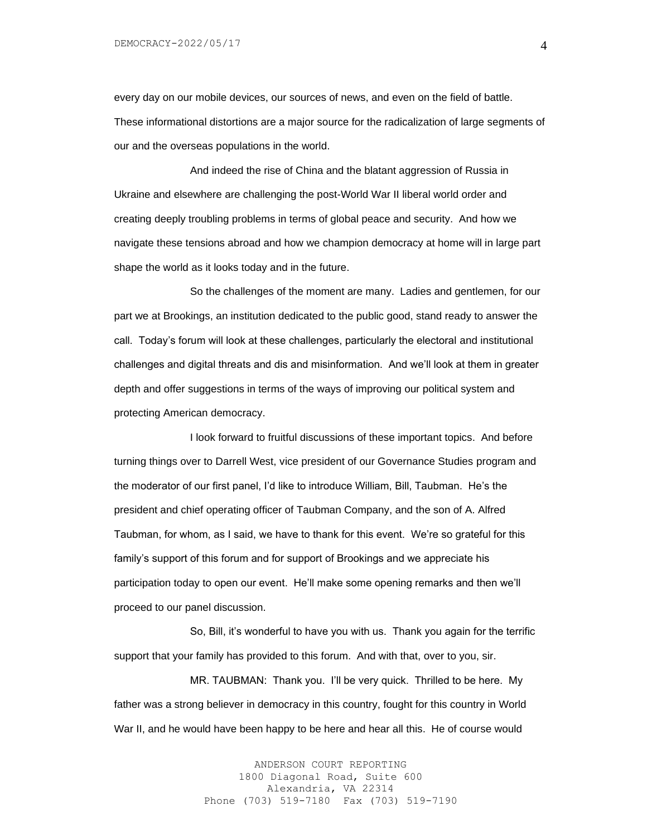every day on our mobile devices, our sources of news, and even on the field of battle. These informational distortions are a major source for the radicalization of large segments of our and the overseas populations in the world.

And indeed the rise of China and the blatant aggression of Russia in Ukraine and elsewhere are challenging the post-World War II liberal world order and creating deeply troubling problems in terms of global peace and security. And how we navigate these tensions abroad and how we champion democracy at home will in large part shape the world as it looks today and in the future.

So the challenges of the moment are many. Ladies and gentlemen, for our part we at Brookings, an institution dedicated to the public good, stand ready to answer the call. Today's forum will look at these challenges, particularly the electoral and institutional challenges and digital threats and dis and misinformation. And we'll look at them in greater depth and offer suggestions in terms of the ways of improving our political system and protecting American democracy.

I look forward to fruitful discussions of these important topics. And before turning things over to Darrell West, vice president of our Governance Studies program and the moderator of our first panel, I'd like to introduce William, Bill, Taubman. He's the president and chief operating officer of Taubman Company, and the son of A. Alfred Taubman, for whom, as I said, we have to thank for this event. We're so grateful for this family's support of this forum and for support of Brookings and we appreciate his participation today to open our event. He'll make some opening remarks and then we'll proceed to our panel discussion.

So, Bill, it's wonderful to have you with us. Thank you again for the terrific support that your family has provided to this forum. And with that, over to you, sir.

MR. TAUBMAN: Thank you. I'll be very quick. Thrilled to be here. My father was a strong believer in democracy in this country, fought for this country in World War II, and he would have been happy to be here and hear all this. He of course would

> ANDERSON COURT REPORTING 1800 Diagonal Road, Suite 600 Alexandria, VA 22314 Phone (703) 519-7180 Fax (703) 519-7190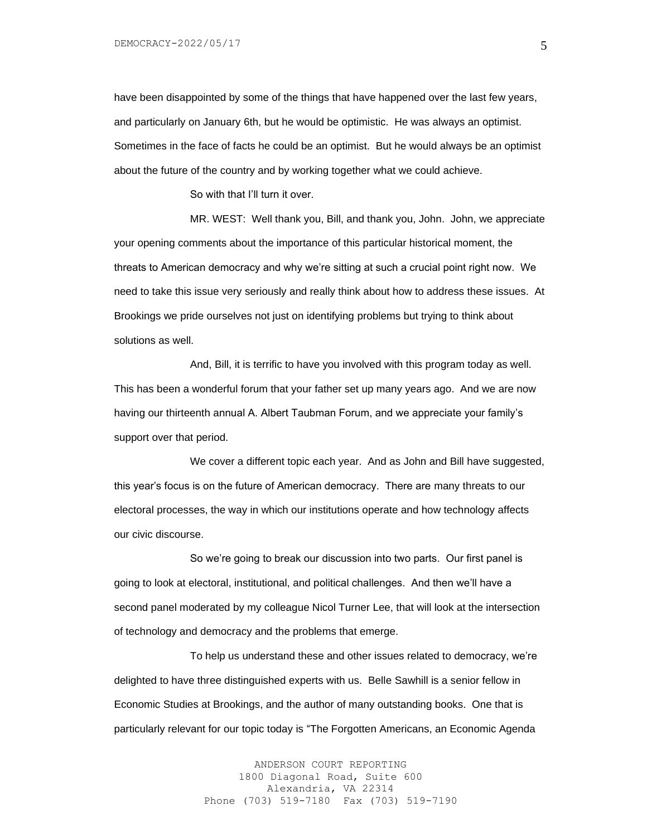have been disappointed by some of the things that have happened over the last few years, and particularly on January 6th, but he would be optimistic. He was always an optimist. Sometimes in the face of facts he could be an optimist. But he would always be an optimist about the future of the country and by working together what we could achieve.

So with that I'll turn it over.

MR. WEST: Well thank you, Bill, and thank you, John. John, we appreciate your opening comments about the importance of this particular historical moment, the threats to American democracy and why we're sitting at such a crucial point right now. We need to take this issue very seriously and really think about how to address these issues. At Brookings we pride ourselves not just on identifying problems but trying to think about solutions as well.

And, Bill, it is terrific to have you involved with this program today as well. This has been a wonderful forum that your father set up many years ago. And we are now having our thirteenth annual A. Albert Taubman Forum, and we appreciate your family's support over that period.

We cover a different topic each year. And as John and Bill have suggested, this year's focus is on the future of American democracy. There are many threats to our electoral processes, the way in which our institutions operate and how technology affects our civic discourse.

So we're going to break our discussion into two parts. Our first panel is going to look at electoral, institutional, and political challenges. And then we'll have a second panel moderated by my colleague Nicol Turner Lee, that will look at the intersection of technology and democracy and the problems that emerge.

To help us understand these and other issues related to democracy, we're delighted to have three distinguished experts with us. Belle Sawhill is a senior fellow in Economic Studies at Brookings, and the author of many outstanding books. One that is particularly relevant for our topic today is "The Forgotten Americans, an Economic Agenda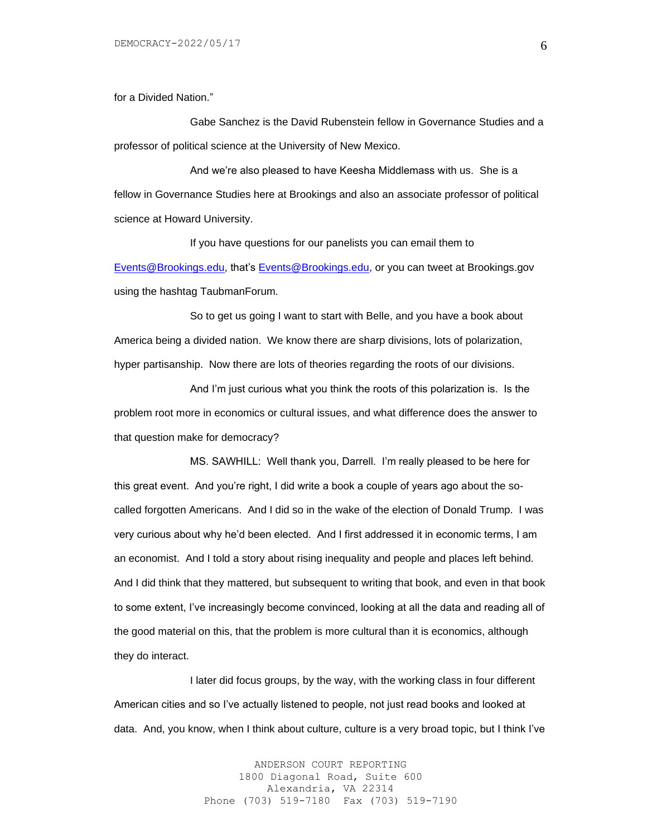for a Divided Nation."

Gabe Sanchez is the David Rubenstein fellow in Governance Studies and a professor of political science at the University of New Mexico.

And we're also pleased to have Keesha Middlemass with us. She is a fellow in Governance Studies here at Brookings and also an associate professor of political science at Howard University.

If you have questions for our panelists you can email them to [Events@Brookings.edu,](mailto:Events@Brookings.edu) that's [Events@Brookings.edu,](mailto:Events@Brookings.edu) or you can tweet at Brookings.gov using the hashtag TaubmanForum.

So to get us going I want to start with Belle, and you have a book about America being a divided nation. We know there are sharp divisions, lots of polarization, hyper partisanship. Now there are lots of theories regarding the roots of our divisions.

And I'm just curious what you think the roots of this polarization is. Is the problem root more in economics or cultural issues, and what difference does the answer to that question make for democracy?

MS. SAWHILL: Well thank you, Darrell. I'm really pleased to be here for this great event. And you're right, I did write a book a couple of years ago about the socalled forgotten Americans. And I did so in the wake of the election of Donald Trump. I was very curious about why he'd been elected. And I first addressed it in economic terms, I am an economist. And I told a story about rising inequality and people and places left behind. And I did think that they mattered, but subsequent to writing that book, and even in that book to some extent, I've increasingly become convinced, looking at all the data and reading all of the good material on this, that the problem is more cultural than it is economics, although they do interact.

I later did focus groups, by the way, with the working class in four different American cities and so I've actually listened to people, not just read books and looked at data. And, you know, when I think about culture, culture is a very broad topic, but I think I've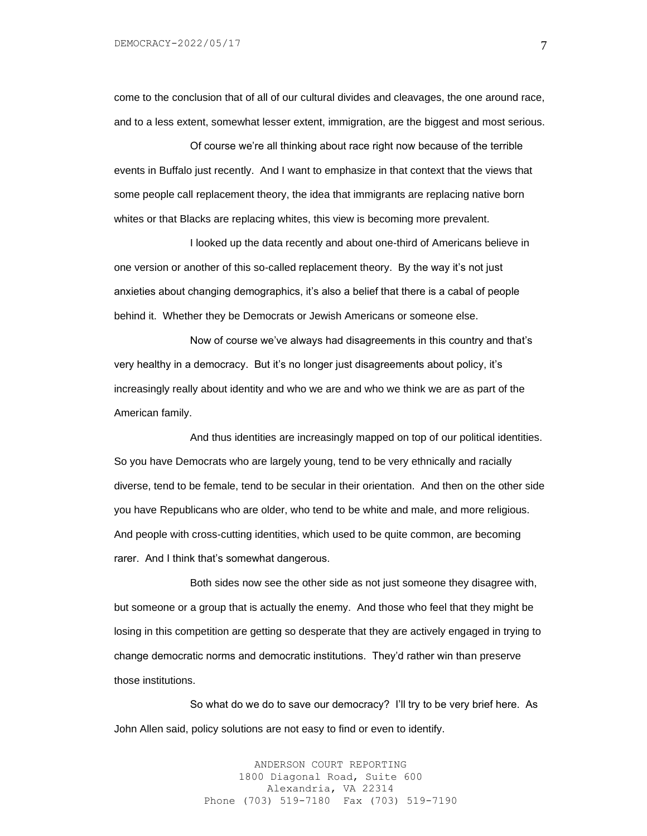come to the conclusion that of all of our cultural divides and cleavages, the one around race, and to a less extent, somewhat lesser extent, immigration, are the biggest and most serious.

Of course we're all thinking about race right now because of the terrible events in Buffalo just recently. And I want to emphasize in that context that the views that some people call replacement theory, the idea that immigrants are replacing native born whites or that Blacks are replacing whites, this view is becoming more prevalent.

I looked up the data recently and about one-third of Americans believe in one version or another of this so-called replacement theory. By the way it's not just anxieties about changing demographics, it's also a belief that there is a cabal of people behind it. Whether they be Democrats or Jewish Americans or someone else.

Now of course we've always had disagreements in this country and that's very healthy in a democracy. But it's no longer just disagreements about policy, it's increasingly really about identity and who we are and who we think we are as part of the American family.

And thus identities are increasingly mapped on top of our political identities. So you have Democrats who are largely young, tend to be very ethnically and racially diverse, tend to be female, tend to be secular in their orientation. And then on the other side you have Republicans who are older, who tend to be white and male, and more religious. And people with cross-cutting identities, which used to be quite common, are becoming rarer. And I think that's somewhat dangerous.

Both sides now see the other side as not just someone they disagree with, but someone or a group that is actually the enemy. And those who feel that they might be losing in this competition are getting so desperate that they are actively engaged in trying to change democratic norms and democratic institutions. They'd rather win than preserve those institutions.

So what do we do to save our democracy? I'll try to be very brief here. As John Allen said, policy solutions are not easy to find or even to identify.

> ANDERSON COURT REPORTING 1800 Diagonal Road, Suite 600 Alexandria, VA 22314 Phone (703) 519-7180 Fax (703) 519-7190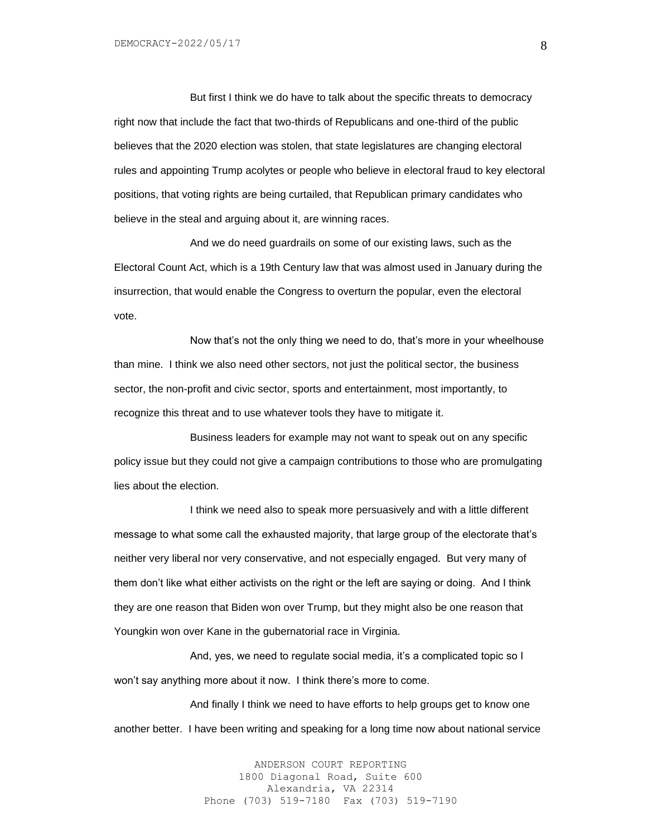But first I think we do have to talk about the specific threats to democracy right now that include the fact that two-thirds of Republicans and one-third of the public believes that the 2020 election was stolen, that state legislatures are changing electoral rules and appointing Trump acolytes or people who believe in electoral fraud to key electoral positions, that voting rights are being curtailed, that Republican primary candidates who believe in the steal and arguing about it, are winning races.

And we do need guardrails on some of our existing laws, such as the Electoral Count Act, which is a 19th Century law that was almost used in January during the insurrection, that would enable the Congress to overturn the popular, even the electoral vote.

Now that's not the only thing we need to do, that's more in your wheelhouse than mine. I think we also need other sectors, not just the political sector, the business sector, the non-profit and civic sector, sports and entertainment, most importantly, to recognize this threat and to use whatever tools they have to mitigate it.

Business leaders for example may not want to speak out on any specific policy issue but they could not give a campaign contributions to those who are promulgating lies about the election.

I think we need also to speak more persuasively and with a little different message to what some call the exhausted majority, that large group of the electorate that's neither very liberal nor very conservative, and not especially engaged. But very many of them don't like what either activists on the right or the left are saying or doing. And I think they are one reason that Biden won over Trump, but they might also be one reason that Youngkin won over Kane in the gubernatorial race in Virginia.

And, yes, we need to regulate social media, it's a complicated topic so I won't say anything more about it now. I think there's more to come.

And finally I think we need to have efforts to help groups get to know one another better. I have been writing and speaking for a long time now about national service

> ANDERSON COURT REPORTING 1800 Diagonal Road, Suite 600 Alexandria, VA 22314 Phone (703) 519-7180 Fax (703) 519-7190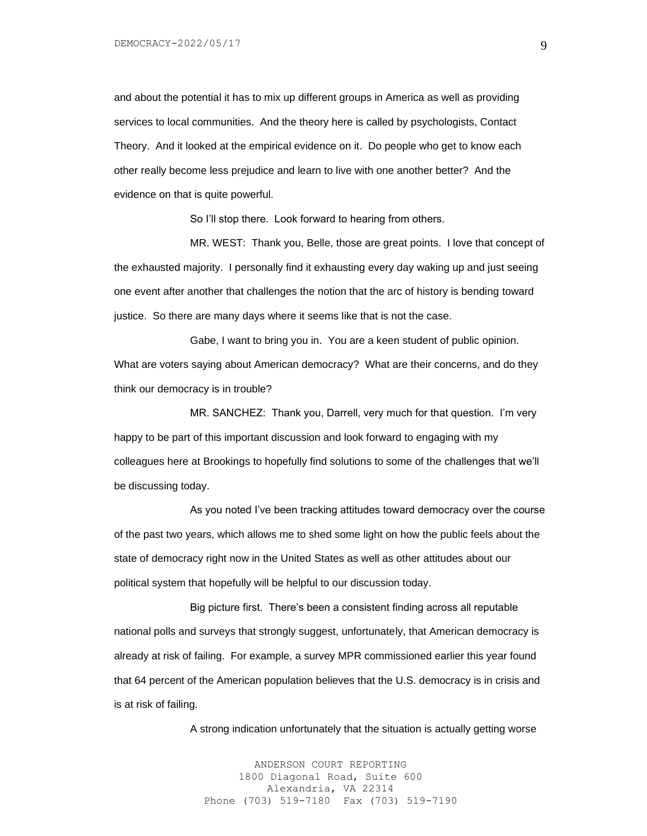and about the potential it has to mix up different groups in America as well as providing services to local communities. And the theory here is called by psychologists, Contact Theory. And it looked at the empirical evidence on it. Do people who get to know each other really become less prejudice and learn to live with one another better? And the evidence on that is quite powerful.

So I'll stop there. Look forward to hearing from others.

MR. WEST: Thank you, Belle, those are great points. I love that concept of the exhausted majority. I personally find it exhausting every day waking up and just seeing one event after another that challenges the notion that the arc of history is bending toward justice. So there are many days where it seems like that is not the case.

Gabe, I want to bring you in. You are a keen student of public opinion. What are voters saying about American democracy? What are their concerns, and do they think our democracy is in trouble?

MR. SANCHEZ: Thank you, Darrell, very much for that question. I'm very happy to be part of this important discussion and look forward to engaging with my colleagues here at Brookings to hopefully find solutions to some of the challenges that we'll be discussing today.

As you noted I've been tracking attitudes toward democracy over the course of the past two years, which allows me to shed some light on how the public feels about the state of democracy right now in the United States as well as other attitudes about our political system that hopefully will be helpful to our discussion today.

Big picture first. There's been a consistent finding across all reputable national polls and surveys that strongly suggest, unfortunately, that American democracy is already at risk of failing. For example, a survey MPR commissioned earlier this year found that 64 percent of the American population believes that the U.S. democracy is in crisis and is at risk of failing.

A strong indication unfortunately that the situation is actually getting worse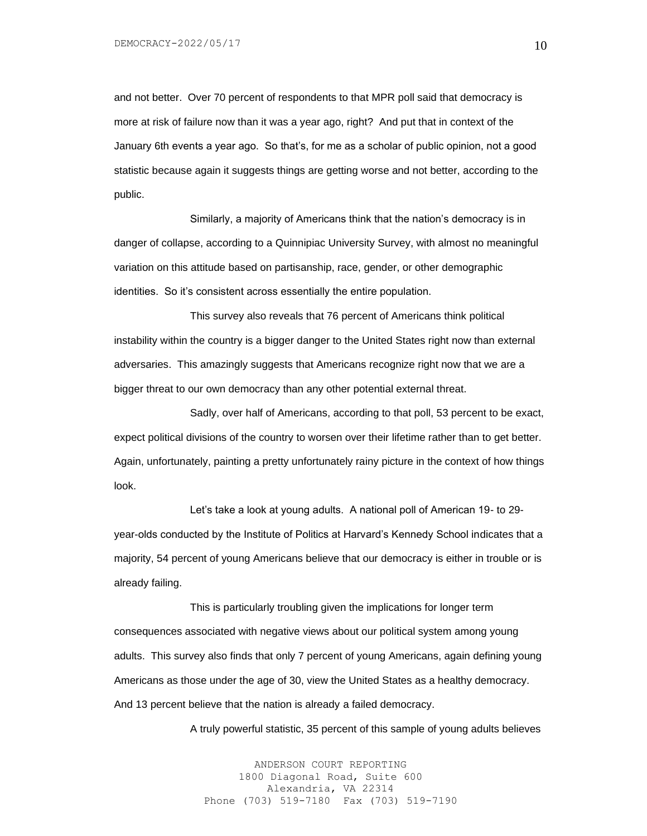and not better. Over 70 percent of respondents to that MPR poll said that democracy is more at risk of failure now than it was a year ago, right? And put that in context of the January 6th events a year ago. So that's, for me as a scholar of public opinion, not a good statistic because again it suggests things are getting worse and not better, according to the public.

Similarly, a majority of Americans think that the nation's democracy is in danger of collapse, according to a Quinnipiac University Survey, with almost no meaningful variation on this attitude based on partisanship, race, gender, or other demographic identities. So it's consistent across essentially the entire population.

This survey also reveals that 76 percent of Americans think political instability within the country is a bigger danger to the United States right now than external adversaries. This amazingly suggests that Americans recognize right now that we are a bigger threat to our own democracy than any other potential external threat.

Sadly, over half of Americans, according to that poll, 53 percent to be exact, expect political divisions of the country to worsen over their lifetime rather than to get better. Again, unfortunately, painting a pretty unfortunately rainy picture in the context of how things look.

Let's take a look at young adults. A national poll of American 19- to 29 year-olds conducted by the Institute of Politics at Harvard's Kennedy School indicates that a majority, 54 percent of young Americans believe that our democracy is either in trouble or is already failing.

This is particularly troubling given the implications for longer term consequences associated with negative views about our political system among young adults. This survey also finds that only 7 percent of young Americans, again defining young Americans as those under the age of 30, view the United States as a healthy democracy. And 13 percent believe that the nation is already a failed democracy.

A truly powerful statistic, 35 percent of this sample of young adults believes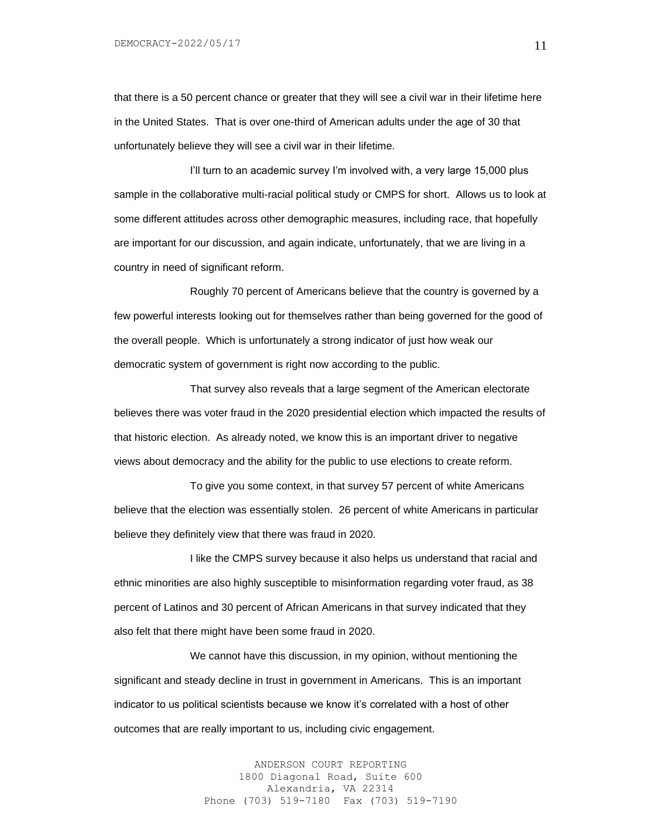that there is a 50 percent chance or greater that they will see a civil war in their lifetime here in the United States. That is over one-third of American adults under the age of 30 that unfortunately believe they will see a civil war in their lifetime.

I'll turn to an academic survey I'm involved with, a very large 15,000 plus sample in the collaborative multi-racial political study or CMPS for short. Allows us to look at some different attitudes across other demographic measures, including race, that hopefully are important for our discussion, and again indicate, unfortunately, that we are living in a country in need of significant reform.

Roughly 70 percent of Americans believe that the country is governed by a few powerful interests looking out for themselves rather than being governed for the good of the overall people. Which is unfortunately a strong indicator of just how weak our democratic system of government is right now according to the public.

That survey also reveals that a large segment of the American electorate believes there was voter fraud in the 2020 presidential election which impacted the results of that historic election. As already noted, we know this is an important driver to negative views about democracy and the ability for the public to use elections to create reform.

To give you some context, in that survey 57 percent of white Americans believe that the election was essentially stolen. 26 percent of white Americans in particular believe they definitely view that there was fraud in 2020.

I like the CMPS survey because it also helps us understand that racial and ethnic minorities are also highly susceptible to misinformation regarding voter fraud, as 38 percent of Latinos and 30 percent of African Americans in that survey indicated that they also felt that there might have been some fraud in 2020.

We cannot have this discussion, in my opinion, without mentioning the significant and steady decline in trust in government in Americans. This is an important indicator to us political scientists because we know it's correlated with a host of other outcomes that are really important to us, including civic engagement.

> ANDERSON COURT REPORTING 1800 Diagonal Road, Suite 600 Alexandria, VA 22314 Phone (703) 519-7180 Fax (703) 519-7190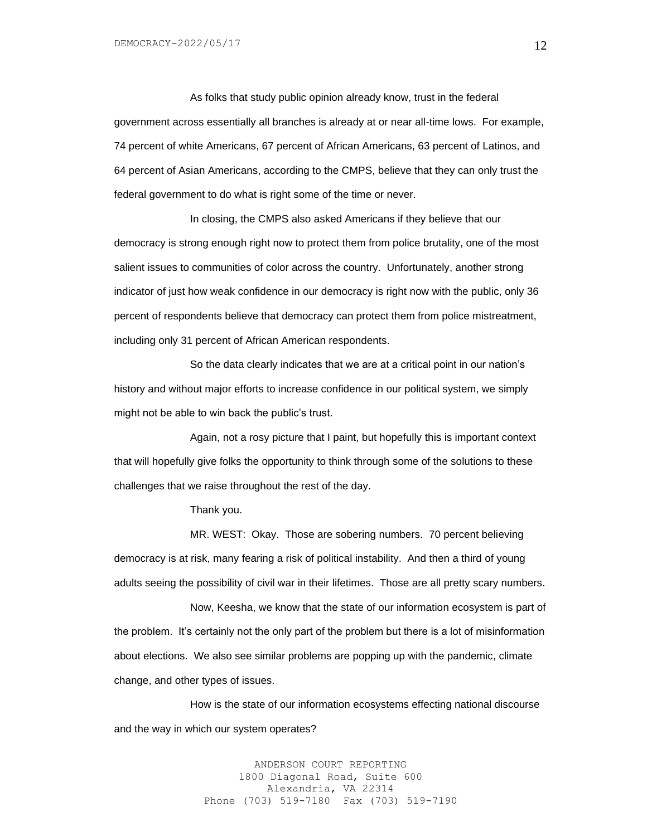As folks that study public opinion already know, trust in the federal government across essentially all branches is already at or near all-time lows. For example, 74 percent of white Americans, 67 percent of African Americans, 63 percent of Latinos, and 64 percent of Asian Americans, according to the CMPS, believe that they can only trust the federal government to do what is right some of the time or never.

In closing, the CMPS also asked Americans if they believe that our democracy is strong enough right now to protect them from police brutality, one of the most salient issues to communities of color across the country. Unfortunately, another strong indicator of just how weak confidence in our democracy is right now with the public, only 36 percent of respondents believe that democracy can protect them from police mistreatment, including only 31 percent of African American respondents.

So the data clearly indicates that we are at a critical point in our nation's history and without major efforts to increase confidence in our political system, we simply might not be able to win back the public's trust.

Again, not a rosy picture that I paint, but hopefully this is important context that will hopefully give folks the opportunity to think through some of the solutions to these challenges that we raise throughout the rest of the day.

Thank you.

MR. WEST: Okay. Those are sobering numbers. 70 percent believing democracy is at risk, many fearing a risk of political instability. And then a third of young adults seeing the possibility of civil war in their lifetimes. Those are all pretty scary numbers.

Now, Keesha, we know that the state of our information ecosystem is part of the problem. It's certainly not the only part of the problem but there is a lot of misinformation about elections. We also see similar problems are popping up with the pandemic, climate change, and other types of issues.

How is the state of our information ecosystems effecting national discourse and the way in which our system operates?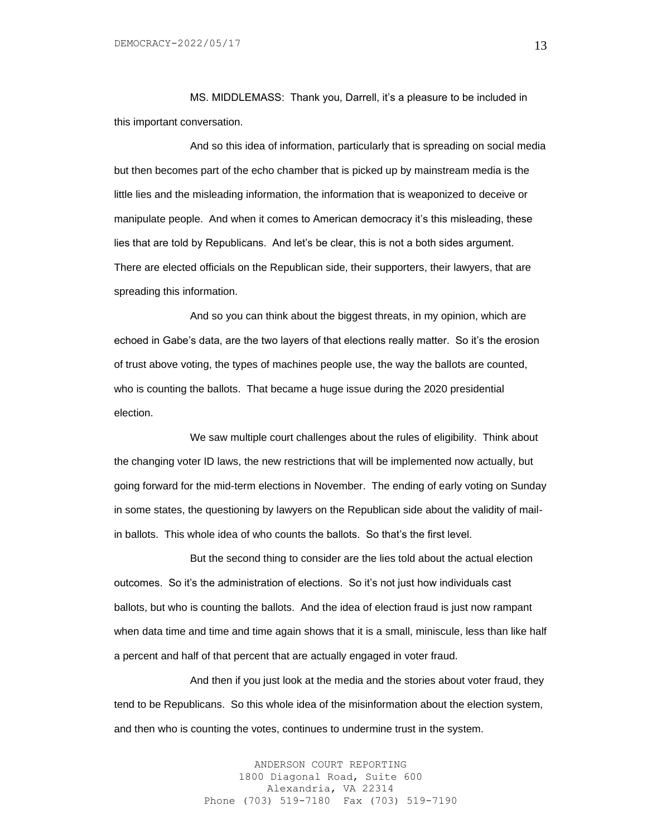MS. MIDDLEMASS: Thank you, Darrell, it's a pleasure to be included in this important conversation.

And so this idea of information, particularly that is spreading on social media but then becomes part of the echo chamber that is picked up by mainstream media is the little lies and the misleading information, the information that is weaponized to deceive or manipulate people. And when it comes to American democracy it's this misleading, these lies that are told by Republicans. And let's be clear, this is not a both sides argument. There are elected officials on the Republican side, their supporters, their lawyers, that are spreading this information.

And so you can think about the biggest threats, in my opinion, which are echoed in Gabe's data, are the two layers of that elections really matter. So it's the erosion of trust above voting, the types of machines people use, the way the ballots are counted, who is counting the ballots. That became a huge issue during the 2020 presidential election.

We saw multiple court challenges about the rules of eligibility. Think about the changing voter ID laws, the new restrictions that will be implemented now actually, but going forward for the mid-term elections in November. The ending of early voting on Sunday in some states, the questioning by lawyers on the Republican side about the validity of mailin ballots. This whole idea of who counts the ballots. So that's the first level.

But the second thing to consider are the lies told about the actual election outcomes. So it's the administration of elections. So it's not just how individuals cast ballots, but who is counting the ballots. And the idea of election fraud is just now rampant when data time and time and time again shows that it is a small, miniscule, less than like half a percent and half of that percent that are actually engaged in voter fraud.

And then if you just look at the media and the stories about voter fraud, they tend to be Republicans. So this whole idea of the misinformation about the election system, and then who is counting the votes, continues to undermine trust in the system.

> ANDERSON COURT REPORTING 1800 Diagonal Road, Suite 600 Alexandria, VA 22314 Phone (703) 519-7180 Fax (703) 519-7190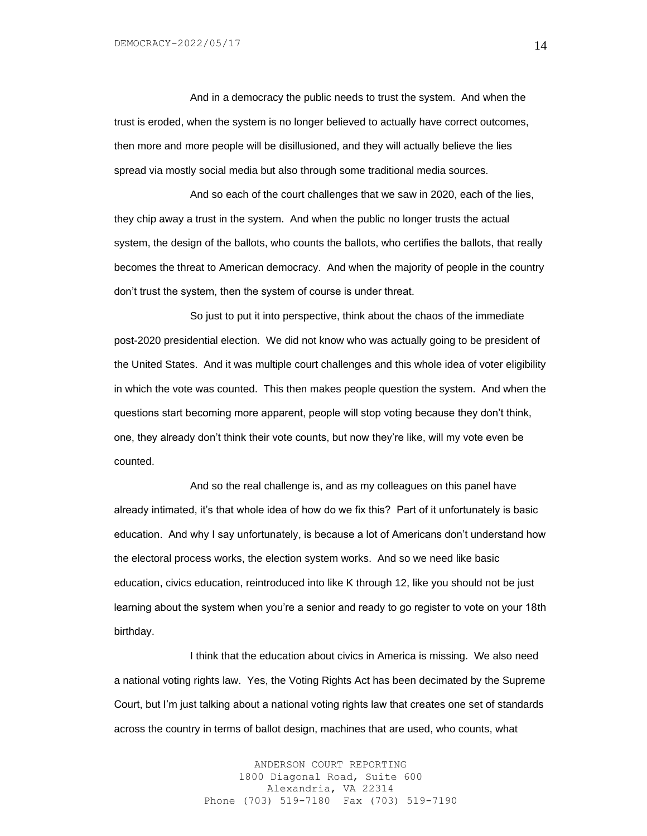And in a democracy the public needs to trust the system. And when the trust is eroded, when the system is no longer believed to actually have correct outcomes, then more and more people will be disillusioned, and they will actually believe the lies spread via mostly social media but also through some traditional media sources.

And so each of the court challenges that we saw in 2020, each of the lies, they chip away a trust in the system. And when the public no longer trusts the actual system, the design of the ballots, who counts the ballots, who certifies the ballots, that really becomes the threat to American democracy. And when the majority of people in the country don't trust the system, then the system of course is under threat.

So just to put it into perspective, think about the chaos of the immediate post-2020 presidential election. We did not know who was actually going to be president of the United States. And it was multiple court challenges and this whole idea of voter eligibility in which the vote was counted. This then makes people question the system. And when the questions start becoming more apparent, people will stop voting because they don't think, one, they already don't think their vote counts, but now they're like, will my vote even be counted.

And so the real challenge is, and as my colleagues on this panel have already intimated, it's that whole idea of how do we fix this? Part of it unfortunately is basic education. And why I say unfortunately, is because a lot of Americans don't understand how the electoral process works, the election system works. And so we need like basic education, civics education, reintroduced into like K through 12, like you should not be just learning about the system when you're a senior and ready to go register to vote on your 18th birthday.

I think that the education about civics in America is missing. We also need a national voting rights law. Yes, the Voting Rights Act has been decimated by the Supreme Court, but I'm just talking about a national voting rights law that creates one set of standards across the country in terms of ballot design, machines that are used, who counts, what

> ANDERSON COURT REPORTING 1800 Diagonal Road, Suite 600 Alexandria, VA 22314 Phone (703) 519-7180 Fax (703) 519-7190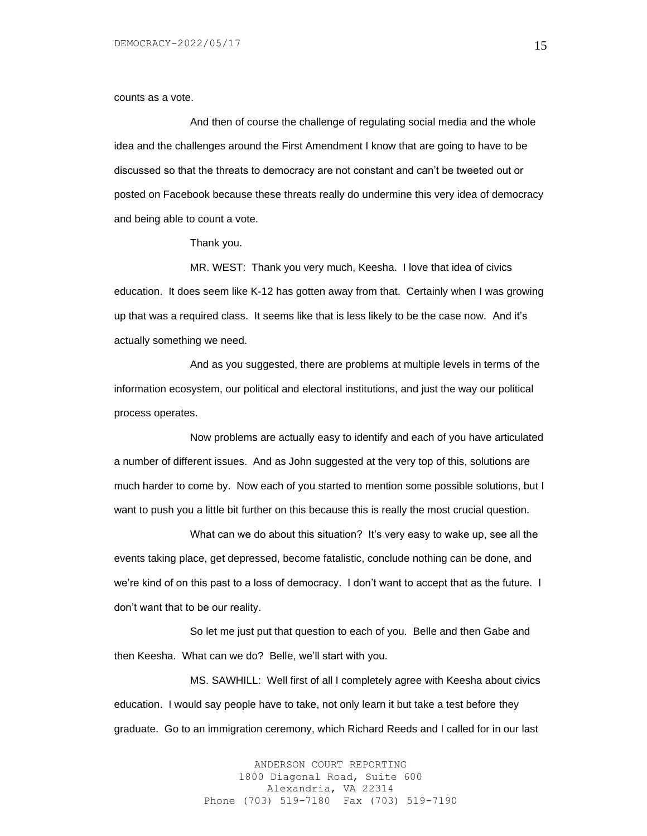counts as a vote.

And then of course the challenge of regulating social media and the whole idea and the challenges around the First Amendment I know that are going to have to be discussed so that the threats to democracy are not constant and can't be tweeted out or posted on Facebook because these threats really do undermine this very idea of democracy and being able to count a vote.

Thank you.

MR. WEST: Thank you very much, Keesha. I love that idea of civics education. It does seem like K-12 has gotten away from that. Certainly when I was growing up that was a required class. It seems like that is less likely to be the case now. And it's actually something we need.

And as you suggested, there are problems at multiple levels in terms of the information ecosystem, our political and electoral institutions, and just the way our political process operates.

Now problems are actually easy to identify and each of you have articulated a number of different issues. And as John suggested at the very top of this, solutions are much harder to come by. Now each of you started to mention some possible solutions, but I want to push you a little bit further on this because this is really the most crucial question.

What can we do about this situation? It's very easy to wake up, see all the events taking place, get depressed, become fatalistic, conclude nothing can be done, and we're kind of on this past to a loss of democracy. I don't want to accept that as the future. I don't want that to be our reality.

So let me just put that question to each of you. Belle and then Gabe and then Keesha. What can we do? Belle, we'll start with you.

MS. SAWHILL: Well first of all I completely agree with Keesha about civics education. I would say people have to take, not only learn it but take a test before they graduate. Go to an immigration ceremony, which Richard Reeds and I called for in our last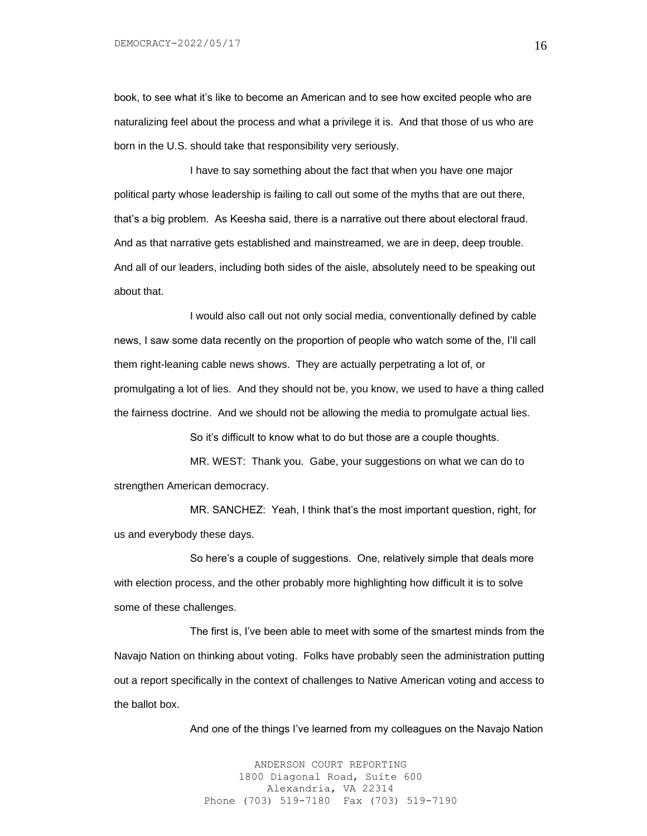book, to see what it's like to become an American and to see how excited people who are naturalizing feel about the process and what a privilege it is. And that those of us who are born in the U.S. should take that responsibility very seriously.

I have to say something about the fact that when you have one major political party whose leadership is failing to call out some of the myths that are out there, that's a big problem. As Keesha said, there is a narrative out there about electoral fraud. And as that narrative gets established and mainstreamed, we are in deep, deep trouble. And all of our leaders, including both sides of the aisle, absolutely need to be speaking out about that.

I would also call out not only social media, conventionally defined by cable news, I saw some data recently on the proportion of people who watch some of the, I'll call them right-leaning cable news shows. They are actually perpetrating a lot of, or promulgating a lot of lies. And they should not be, you know, we used to have a thing called the fairness doctrine. And we should not be allowing the media to promulgate actual lies.

So it's difficult to know what to do but those are a couple thoughts.

MR. WEST: Thank you. Gabe, your suggestions on what we can do to strengthen American democracy.

MR. SANCHEZ: Yeah, I think that's the most important question, right, for us and everybody these days.

So here's a couple of suggestions. One, relatively simple that deals more with election process, and the other probably more highlighting how difficult it is to solve some of these challenges.

The first is, I've been able to meet with some of the smartest minds from the Navajo Nation on thinking about voting. Folks have probably seen the administration putting out a report specifically in the context of challenges to Native American voting and access to the ballot box.

And one of the things I've learned from my colleagues on the Navajo Nation

ANDERSON COURT REPORTING 1800 Diagonal Road, Suite 600 Alexandria, VA 22314 Phone (703) 519-7180 Fax (703) 519-7190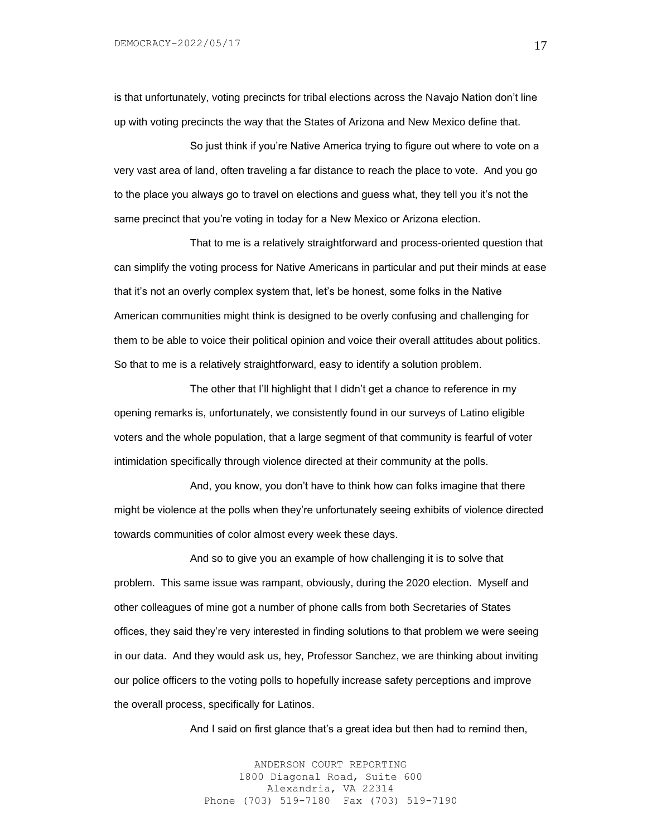is that unfortunately, voting precincts for tribal elections across the Navajo Nation don't line up with voting precincts the way that the States of Arizona and New Mexico define that.

So just think if you're Native America trying to figure out where to vote on a very vast area of land, often traveling a far distance to reach the place to vote. And you go to the place you always go to travel on elections and guess what, they tell you it's not the same precinct that you're voting in today for a New Mexico or Arizona election.

That to me is a relatively straightforward and process-oriented question that can simplify the voting process for Native Americans in particular and put their minds at ease that it's not an overly complex system that, let's be honest, some folks in the Native American communities might think is designed to be overly confusing and challenging for them to be able to voice their political opinion and voice their overall attitudes about politics. So that to me is a relatively straightforward, easy to identify a solution problem.

The other that I'll highlight that I didn't get a chance to reference in my opening remarks is, unfortunately, we consistently found in our surveys of Latino eligible voters and the whole population, that a large segment of that community is fearful of voter intimidation specifically through violence directed at their community at the polls.

And, you know, you don't have to think how can folks imagine that there might be violence at the polls when they're unfortunately seeing exhibits of violence directed towards communities of color almost every week these days.

And so to give you an example of how challenging it is to solve that problem. This same issue was rampant, obviously, during the 2020 election. Myself and other colleagues of mine got a number of phone calls from both Secretaries of States offices, they said they're very interested in finding solutions to that problem we were seeing in our data. And they would ask us, hey, Professor Sanchez, we are thinking about inviting our police officers to the voting polls to hopefully increase safety perceptions and improve the overall process, specifically for Latinos.

And I said on first glance that's a great idea but then had to remind then,

ANDERSON COURT REPORTING 1800 Diagonal Road, Suite 600 Alexandria, VA 22314 Phone (703) 519-7180 Fax (703) 519-7190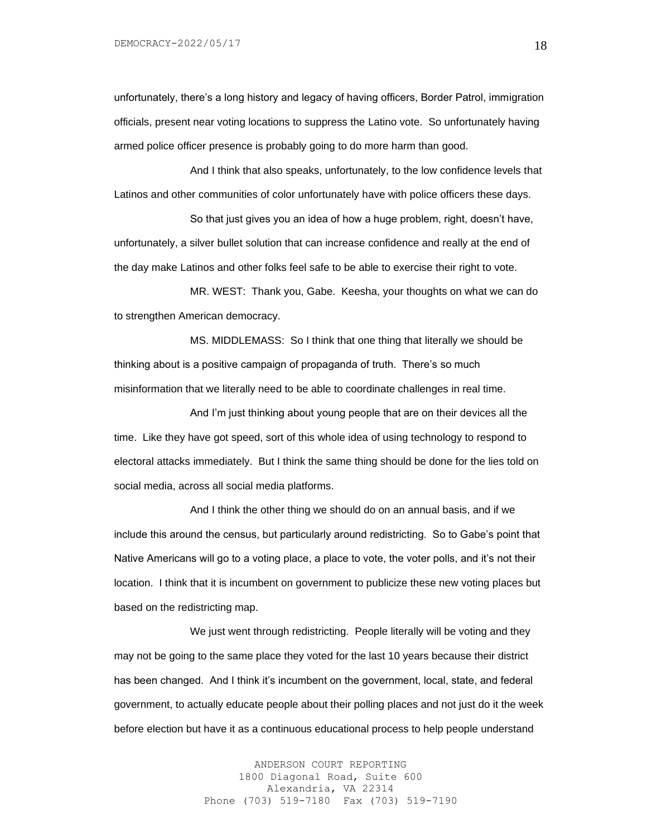unfortunately, there's a long history and legacy of having officers, Border Patrol, immigration officials, present near voting locations to suppress the Latino vote. So unfortunately having armed police officer presence is probably going to do more harm than good.

And I think that also speaks, unfortunately, to the low confidence levels that Latinos and other communities of color unfortunately have with police officers these days.

So that just gives you an idea of how a huge problem, right, doesn't have, unfortunately, a silver bullet solution that can increase confidence and really at the end of the day make Latinos and other folks feel safe to be able to exercise their right to vote.

MR. WEST: Thank you, Gabe. Keesha, your thoughts on what we can do to strengthen American democracy.

MS. MIDDLEMASS: So I think that one thing that literally we should be thinking about is a positive campaign of propaganda of truth. There's so much misinformation that we literally need to be able to coordinate challenges in real time.

And I'm just thinking about young people that are on their devices all the time. Like they have got speed, sort of this whole idea of using technology to respond to electoral attacks immediately. But I think the same thing should be done for the lies told on social media, across all social media platforms.

And I think the other thing we should do on an annual basis, and if we include this around the census, but particularly around redistricting. So to Gabe's point that Native Americans will go to a voting place, a place to vote, the voter polls, and it's not their location. I think that it is incumbent on government to publicize these new voting places but based on the redistricting map.

We just went through redistricting. People literally will be voting and they may not be going to the same place they voted for the last 10 years because their district has been changed. And I think it's incumbent on the government, local, state, and federal government, to actually educate people about their polling places and not just do it the week before election but have it as a continuous educational process to help people understand

> ANDERSON COURT REPORTING 1800 Diagonal Road, Suite 600 Alexandria, VA 22314 Phone (703) 519-7180 Fax (703) 519-7190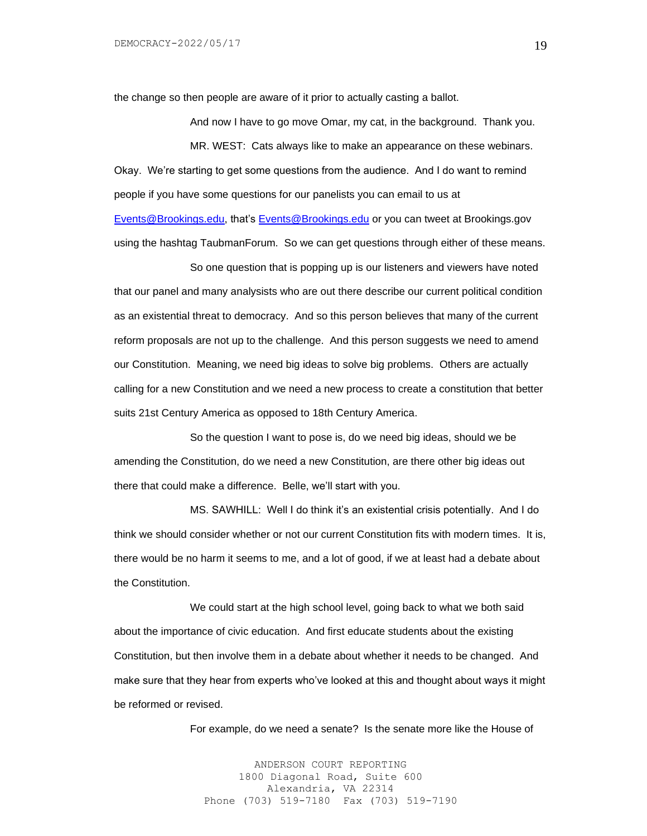the change so then people are aware of it prior to actually casting a ballot.

And now I have to go move Omar, my cat, in the background. Thank you. MR. WEST: Cats always like to make an appearance on these webinars. Okay. We're starting to get some questions from the audience. And I do want to remind people if you have some questions for our panelists you can email to us at [Events@Brookings.edu,](mailto:Events@Brookings.edu) that's [Events@Brookings.edu](mailto:Events@Brookings.edu) or you can tweet at Brookings.gov using the hashtag TaubmanForum. So we can get questions through either of these means.

So one question that is popping up is our listeners and viewers have noted that our panel and many analysists who are out there describe our current political condition as an existential threat to democracy. And so this person believes that many of the current reform proposals are not up to the challenge. And this person suggests we need to amend our Constitution. Meaning, we need big ideas to solve big problems. Others are actually calling for a new Constitution and we need a new process to create a constitution that better suits 21st Century America as opposed to 18th Century America.

So the question I want to pose is, do we need big ideas, should we be amending the Constitution, do we need a new Constitution, are there other big ideas out there that could make a difference. Belle, we'll start with you.

MS. SAWHILL: Well I do think it's an existential crisis potentially. And I do think we should consider whether or not our current Constitution fits with modern times. It is, there would be no harm it seems to me, and a lot of good, if we at least had a debate about the Constitution.

We could start at the high school level, going back to what we both said about the importance of civic education. And first educate students about the existing Constitution, but then involve them in a debate about whether it needs to be changed. And make sure that they hear from experts who've looked at this and thought about ways it might be reformed or revised.

For example, do we need a senate? Is the senate more like the House of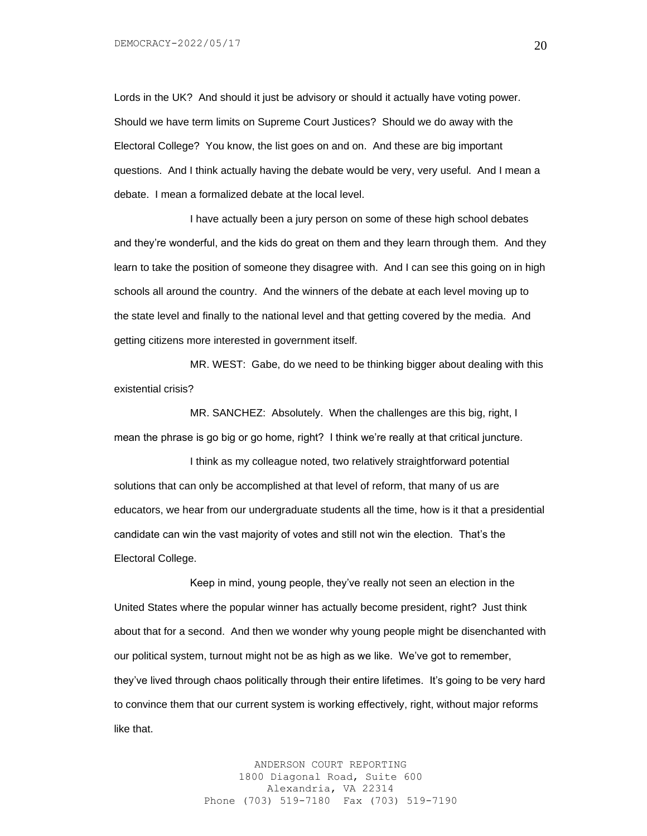Lords in the UK? And should it just be advisory or should it actually have voting power. Should we have term limits on Supreme Court Justices? Should we do away with the Electoral College? You know, the list goes on and on. And these are big important questions. And I think actually having the debate would be very, very useful. And I mean a debate. I mean a formalized debate at the local level.

I have actually been a jury person on some of these high school debates and they're wonderful, and the kids do great on them and they learn through them. And they learn to take the position of someone they disagree with. And I can see this going on in high schools all around the country. And the winners of the debate at each level moving up to the state level and finally to the national level and that getting covered by the media. And getting citizens more interested in government itself.

MR. WEST: Gabe, do we need to be thinking bigger about dealing with this existential crisis?

MR. SANCHEZ: Absolutely. When the challenges are this big, right, I mean the phrase is go big or go home, right? I think we're really at that critical juncture.

I think as my colleague noted, two relatively straightforward potential solutions that can only be accomplished at that level of reform, that many of us are educators, we hear from our undergraduate students all the time, how is it that a presidential candidate can win the vast majority of votes and still not win the election. That's the Electoral College.

Keep in mind, young people, they've really not seen an election in the United States where the popular winner has actually become president, right? Just think about that for a second. And then we wonder why young people might be disenchanted with our political system, turnout might not be as high as we like. We've got to remember, they've lived through chaos politically through their entire lifetimes. It's going to be very hard to convince them that our current system is working effectively, right, without major reforms like that.

> ANDERSON COURT REPORTING 1800 Diagonal Road, Suite 600 Alexandria, VA 22314 Phone (703) 519-7180 Fax (703) 519-7190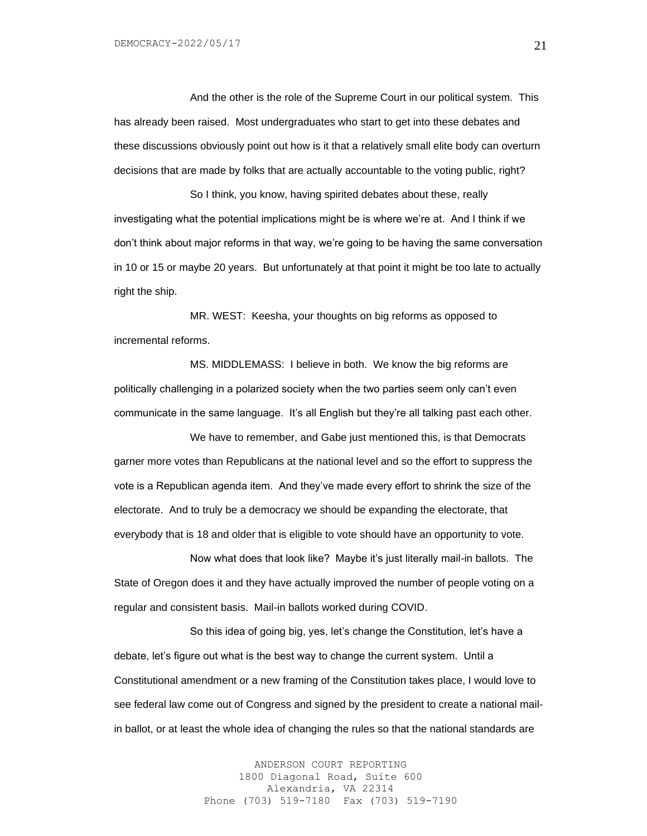And the other is the role of the Supreme Court in our political system. This has already been raised. Most undergraduates who start to get into these debates and these discussions obviously point out how is it that a relatively small elite body can overturn decisions that are made by folks that are actually accountable to the voting public, right?

So I think, you know, having spirited debates about these, really investigating what the potential implications might be is where we're at. And I think if we don't think about major reforms in that way, we're going to be having the same conversation in 10 or 15 or maybe 20 years. But unfortunately at that point it might be too late to actually right the ship.

MR. WEST: Keesha, your thoughts on big reforms as opposed to incremental reforms.

MS. MIDDLEMASS: I believe in both. We know the big reforms are politically challenging in a polarized society when the two parties seem only can't even communicate in the same language. It's all English but they're all talking past each other.

We have to remember, and Gabe just mentioned this, is that Democrats garner more votes than Republicans at the national level and so the effort to suppress the vote is a Republican agenda item. And they've made every effort to shrink the size of the electorate. And to truly be a democracy we should be expanding the electorate, that everybody that is 18 and older that is eligible to vote should have an opportunity to vote.

Now what does that look like? Maybe it's just literally mail-in ballots. The State of Oregon does it and they have actually improved the number of people voting on a regular and consistent basis. Mail-in ballots worked during COVID.

So this idea of going big, yes, let's change the Constitution, let's have a debate, let's figure out what is the best way to change the current system. Until a Constitutional amendment or a new framing of the Constitution takes place, I would love to see federal law come out of Congress and signed by the president to create a national mailin ballot, or at least the whole idea of changing the rules so that the national standards are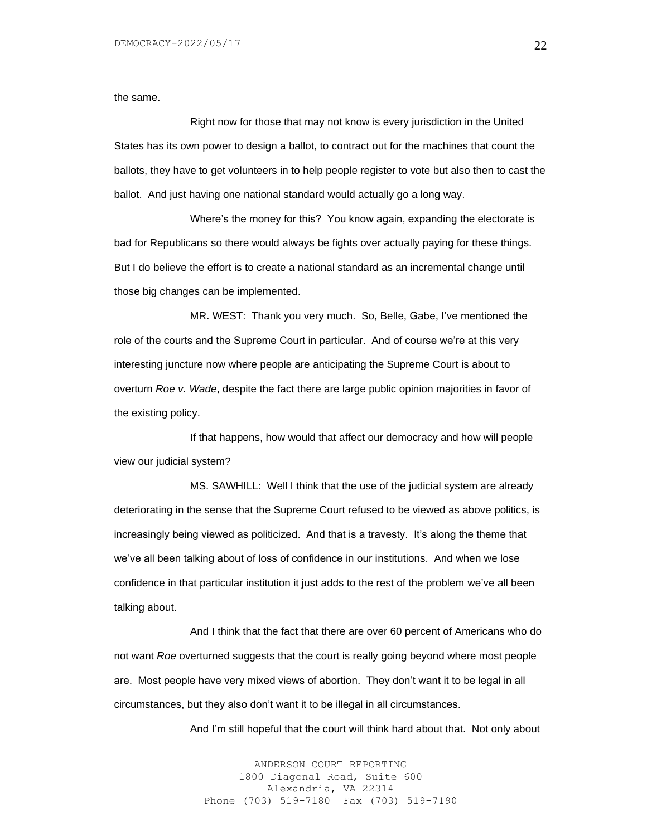the same.

Right now for those that may not know is every jurisdiction in the United States has its own power to design a ballot, to contract out for the machines that count the ballots, they have to get volunteers in to help people register to vote but also then to cast the ballot. And just having one national standard would actually go a long way.

Where's the money for this? You know again, expanding the electorate is bad for Republicans so there would always be fights over actually paying for these things. But I do believe the effort is to create a national standard as an incremental change until those big changes can be implemented.

MR. WEST: Thank you very much. So, Belle, Gabe, I've mentioned the role of the courts and the Supreme Court in particular. And of course we're at this very interesting juncture now where people are anticipating the Supreme Court is about to overturn *Roe v. Wade*, despite the fact there are large public opinion majorities in favor of the existing policy.

If that happens, how would that affect our democracy and how will people view our judicial system?

MS. SAWHILL: Well I think that the use of the judicial system are already deteriorating in the sense that the Supreme Court refused to be viewed as above politics, is increasingly being viewed as politicized. And that is a travesty. It's along the theme that we've all been talking about of loss of confidence in our institutions. And when we lose confidence in that particular institution it just adds to the rest of the problem we've all been talking about.

And I think that the fact that there are over 60 percent of Americans who do not want *Roe* overturned suggests that the court is really going beyond where most people are. Most people have very mixed views of abortion. They don't want it to be legal in all circumstances, but they also don't want it to be illegal in all circumstances.

And I'm still hopeful that the court will think hard about that. Not only about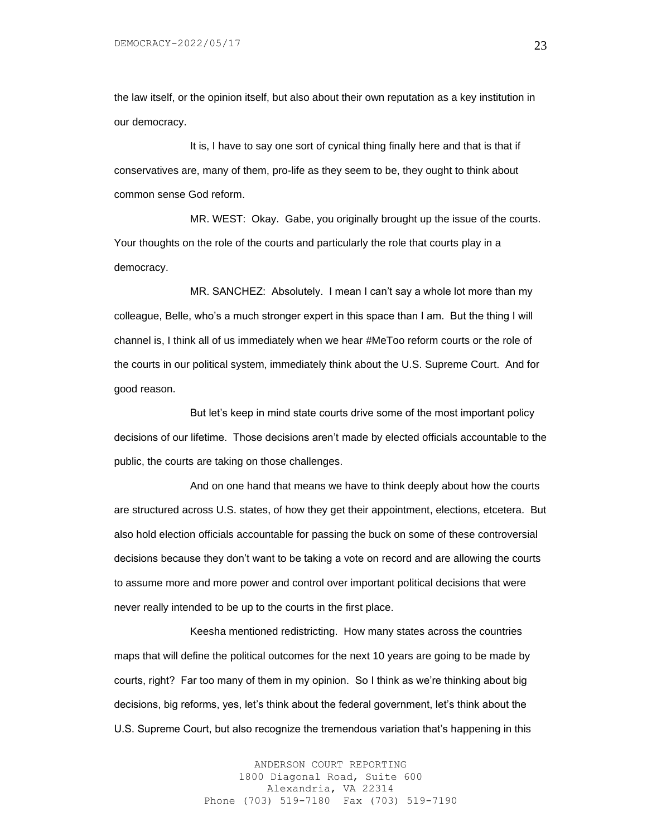the law itself, or the opinion itself, but also about their own reputation as a key institution in our democracy.

It is, I have to say one sort of cynical thing finally here and that is that if conservatives are, many of them, pro-life as they seem to be, they ought to think about common sense God reform.

MR. WEST: Okay. Gabe, you originally brought up the issue of the courts. Your thoughts on the role of the courts and particularly the role that courts play in a democracy.

MR. SANCHEZ: Absolutely. I mean I can't say a whole lot more than my colleague, Belle, who's a much stronger expert in this space than I am. But the thing I will channel is, I think all of us immediately when we hear #MeToo reform courts or the role of the courts in our political system, immediately think about the U.S. Supreme Court. And for good reason.

But let's keep in mind state courts drive some of the most important policy decisions of our lifetime. Those decisions aren't made by elected officials accountable to the public, the courts are taking on those challenges.

And on one hand that means we have to think deeply about how the courts are structured across U.S. states, of how they get their appointment, elections, etcetera. But also hold election officials accountable for passing the buck on some of these controversial decisions because they don't want to be taking a vote on record and are allowing the courts to assume more and more power and control over important political decisions that were never really intended to be up to the courts in the first place.

Keesha mentioned redistricting. How many states across the countries maps that will define the political outcomes for the next 10 years are going to be made by courts, right? Far too many of them in my opinion. So I think as we're thinking about big decisions, big reforms, yes, let's think about the federal government, let's think about the U.S. Supreme Court, but also recognize the tremendous variation that's happening in this

> ANDERSON COURT REPORTING 1800 Diagonal Road, Suite 600 Alexandria, VA 22314 Phone (703) 519-7180 Fax (703) 519-7190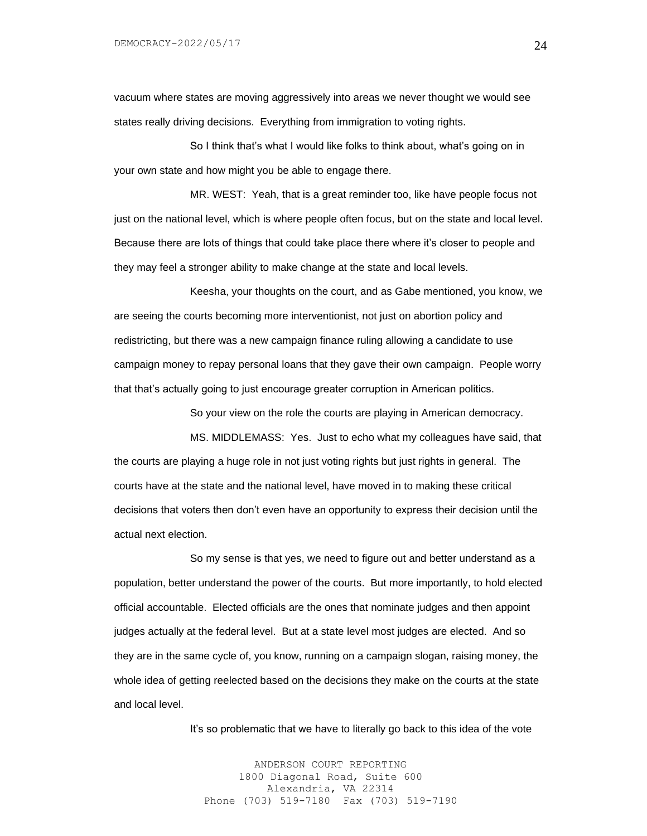vacuum where states are moving aggressively into areas we never thought we would see states really driving decisions. Everything from immigration to voting rights.

So I think that's what I would like folks to think about, what's going on in your own state and how might you be able to engage there.

MR. WEST: Yeah, that is a great reminder too, like have people focus not just on the national level, which is where people often focus, but on the state and local level. Because there are lots of things that could take place there where it's closer to people and they may feel a stronger ability to make change at the state and local levels.

Keesha, your thoughts on the court, and as Gabe mentioned, you know, we are seeing the courts becoming more interventionist, not just on abortion policy and redistricting, but there was a new campaign finance ruling allowing a candidate to use campaign money to repay personal loans that they gave their own campaign. People worry that that's actually going to just encourage greater corruption in American politics.

So your view on the role the courts are playing in American democracy.

MS. MIDDLEMASS: Yes. Just to echo what my colleagues have said, that the courts are playing a huge role in not just voting rights but just rights in general. The courts have at the state and the national level, have moved in to making these critical decisions that voters then don't even have an opportunity to express their decision until the actual next election.

So my sense is that yes, we need to figure out and better understand as a population, better understand the power of the courts. But more importantly, to hold elected official accountable. Elected officials are the ones that nominate judges and then appoint judges actually at the federal level. But at a state level most judges are elected. And so they are in the same cycle of, you know, running on a campaign slogan, raising money, the whole idea of getting reelected based on the decisions they make on the courts at the state and local level.

It's so problematic that we have to literally go back to this idea of the vote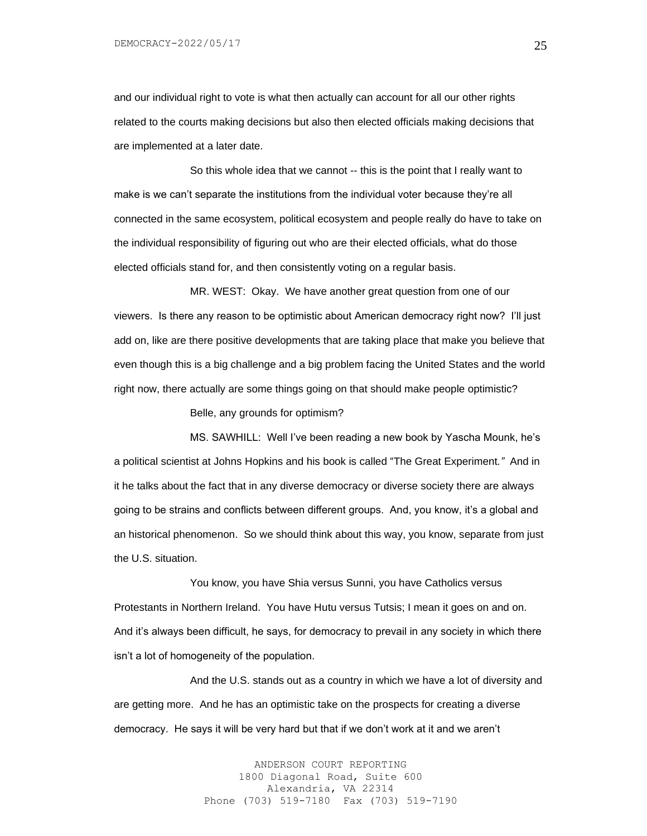and our individual right to vote is what then actually can account for all our other rights related to the courts making decisions but also then elected officials making decisions that are implemented at a later date.

So this whole idea that we cannot -- this is the point that I really want to make is we can't separate the institutions from the individual voter because they're all connected in the same ecosystem, political ecosystem and people really do have to take on the individual responsibility of figuring out who are their elected officials, what do those elected officials stand for, and then consistently voting on a regular basis.

MR. WEST: Okay. We have another great question from one of our viewers. Is there any reason to be optimistic about American democracy right now? I'll just add on, like are there positive developments that are taking place that make you believe that even though this is a big challenge and a big problem facing the United States and the world right now, there actually are some things going on that should make people optimistic?

Belle, any grounds for optimism?

MS. SAWHILL: Well I've been reading a new book by Yascha Mounk, he's a political scientist at Johns Hopkins and his book is called "The Great Experiment*."* And in it he talks about the fact that in any diverse democracy or diverse society there are always going to be strains and conflicts between different groups. And, you know, it's a global and an historical phenomenon. So we should think about this way, you know, separate from just the U.S. situation.

You know, you have Shia versus Sunni, you have Catholics versus Protestants in Northern Ireland. You have Hutu versus Tutsis; I mean it goes on and on. And it's always been difficult, he says, for democracy to prevail in any society in which there isn't a lot of homogeneity of the population.

And the U.S. stands out as a country in which we have a lot of diversity and are getting more. And he has an optimistic take on the prospects for creating a diverse democracy. He says it will be very hard but that if we don't work at it and we aren't

> ANDERSON COURT REPORTING 1800 Diagonal Road, Suite 600 Alexandria, VA 22314 Phone (703) 519-7180 Fax (703) 519-7190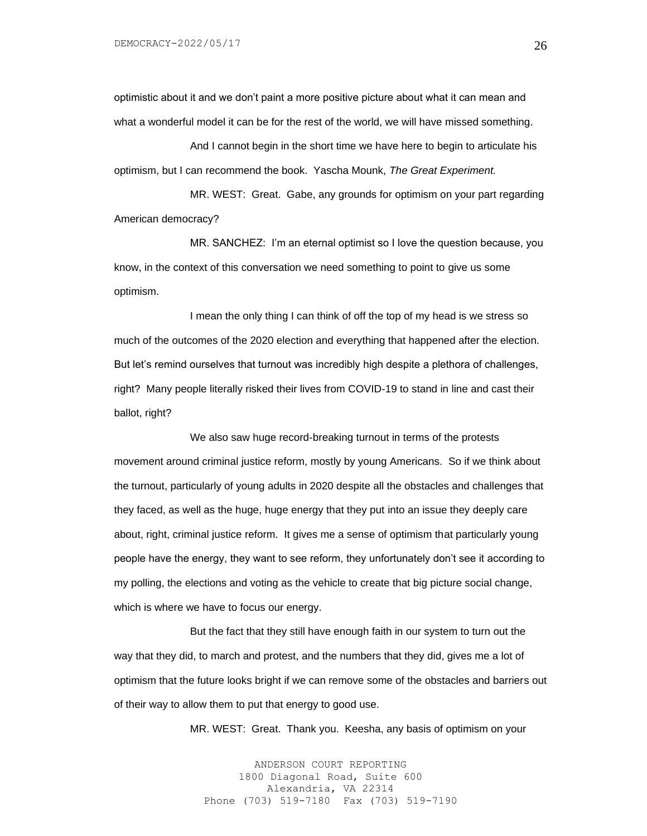optimistic about it and we don't paint a more positive picture about what it can mean and what a wonderful model it can be for the rest of the world, we will have missed something.

And I cannot begin in the short time we have here to begin to articulate his optimism, but I can recommend the book. Yascha Mounk, *The Great Experiment.* 

MR. WEST: Great. Gabe, any grounds for optimism on your part regarding American democracy?

MR. SANCHEZ: I'm an eternal optimist so I love the question because, you know, in the context of this conversation we need something to point to give us some optimism.

I mean the only thing I can think of off the top of my head is we stress so much of the outcomes of the 2020 election and everything that happened after the election. But let's remind ourselves that turnout was incredibly high despite a plethora of challenges, right? Many people literally risked their lives from COVID-19 to stand in line and cast their ballot, right?

We also saw huge record-breaking turnout in terms of the protests movement around criminal justice reform, mostly by young Americans. So if we think about the turnout, particularly of young adults in 2020 despite all the obstacles and challenges that they faced, as well as the huge, huge energy that they put into an issue they deeply care about, right, criminal justice reform. It gives me a sense of optimism that particularly young people have the energy, they want to see reform, they unfortunately don't see it according to my polling, the elections and voting as the vehicle to create that big picture social change, which is where we have to focus our energy.

But the fact that they still have enough faith in our system to turn out the way that they did, to march and protest, and the numbers that they did, gives me a lot of optimism that the future looks bright if we can remove some of the obstacles and barriers out of their way to allow them to put that energy to good use.

MR. WEST: Great. Thank you. Keesha, any basis of optimism on your

ANDERSON COURT REPORTING 1800 Diagonal Road, Suite 600 Alexandria, VA 22314 Phone (703) 519-7180 Fax (703) 519-7190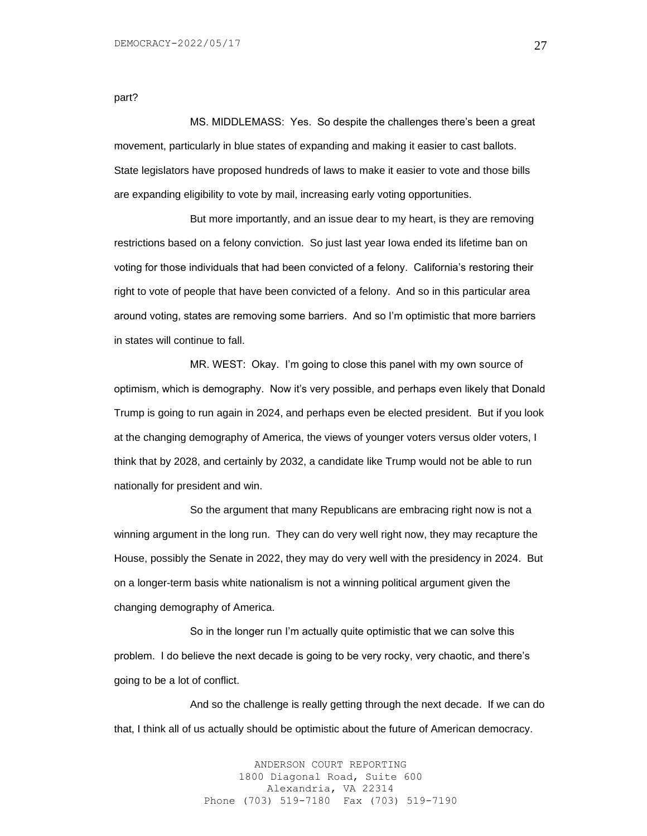part?

MS. MIDDLEMASS: Yes. So despite the challenges there's been a great movement, particularly in blue states of expanding and making it easier to cast ballots. State legislators have proposed hundreds of laws to make it easier to vote and those bills are expanding eligibility to vote by mail, increasing early voting opportunities.

But more importantly, and an issue dear to my heart, is they are removing restrictions based on a felony conviction. So just last year Iowa ended its lifetime ban on voting for those individuals that had been convicted of a felony. California's restoring their right to vote of people that have been convicted of a felony. And so in this particular area around voting, states are removing some barriers. And so I'm optimistic that more barriers in states will continue to fall.

MR. WEST: Okay. I'm going to close this panel with my own source of optimism, which is demography. Now it's very possible, and perhaps even likely that Donald Trump is going to run again in 2024, and perhaps even be elected president. But if you look at the changing demography of America, the views of younger voters versus older voters, I think that by 2028, and certainly by 2032, a candidate like Trump would not be able to run nationally for president and win.

So the argument that many Republicans are embracing right now is not a winning argument in the long run. They can do very well right now, they may recapture the House, possibly the Senate in 2022, they may do very well with the presidency in 2024. But on a longer-term basis white nationalism is not a winning political argument given the changing demography of America.

So in the longer run I'm actually quite optimistic that we can solve this problem. I do believe the next decade is going to be very rocky, very chaotic, and there's going to be a lot of conflict.

And so the challenge is really getting through the next decade. If we can do that, I think all of us actually should be optimistic about the future of American democracy.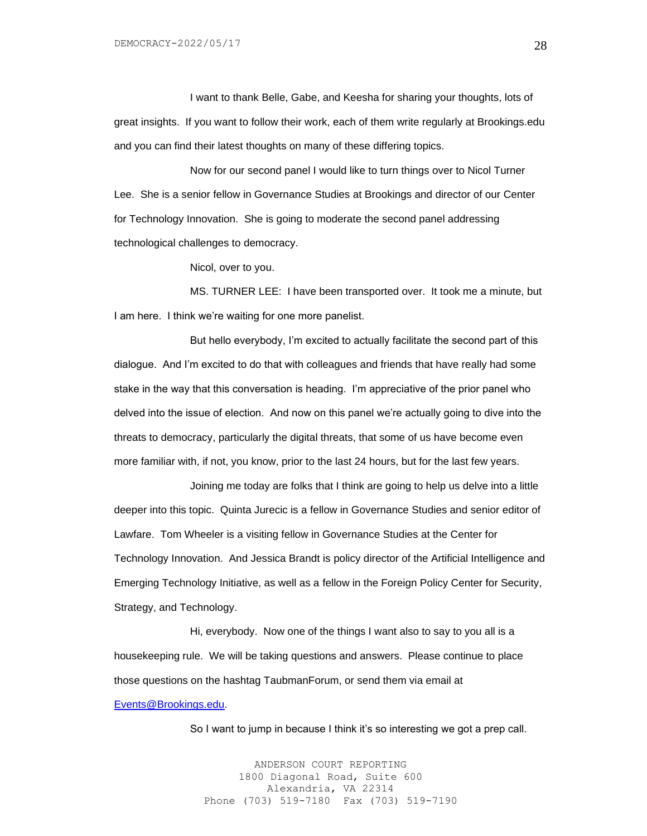I want to thank Belle, Gabe, and Keesha for sharing your thoughts, lots of great insights. If you want to follow their work, each of them write regularly at Brookings.edu and you can find their latest thoughts on many of these differing topics.

Now for our second panel I would like to turn things over to Nicol Turner Lee. She is a senior fellow in Governance Studies at Brookings and director of our Center for Technology Innovation. She is going to moderate the second panel addressing technological challenges to democracy.

Nicol, over to you.

MS. TURNER LEE: I have been transported over. It took me a minute, but I am here. I think we're waiting for one more panelist.

But hello everybody, I'm excited to actually facilitate the second part of this dialogue. And I'm excited to do that with colleagues and friends that have really had some stake in the way that this conversation is heading. I'm appreciative of the prior panel who delved into the issue of election. And now on this panel we're actually going to dive into the threats to democracy, particularly the digital threats, that some of us have become even more familiar with, if not, you know, prior to the last 24 hours, but for the last few years.

Joining me today are folks that I think are going to help us delve into a little deeper into this topic. Quinta Jurecic is a fellow in Governance Studies and senior editor of Lawfare. Tom Wheeler is a visiting fellow in Governance Studies at the Center for Technology Innovation. And Jessica Brandt is policy director of the Artificial Intelligence and Emerging Technology Initiative, as well as a fellow in the Foreign Policy Center for Security, Strategy, and Technology.

Hi, everybody. Now one of the things I want also to say to you all is a housekeeping rule. We will be taking questions and answers. Please continue to place those questions on the hashtag TaubmanForum, or send them via email at [Events@Brookings.edu.](mailto:Events@Brookings.edu)

So I want to jump in because I think it's so interesting we got a prep call.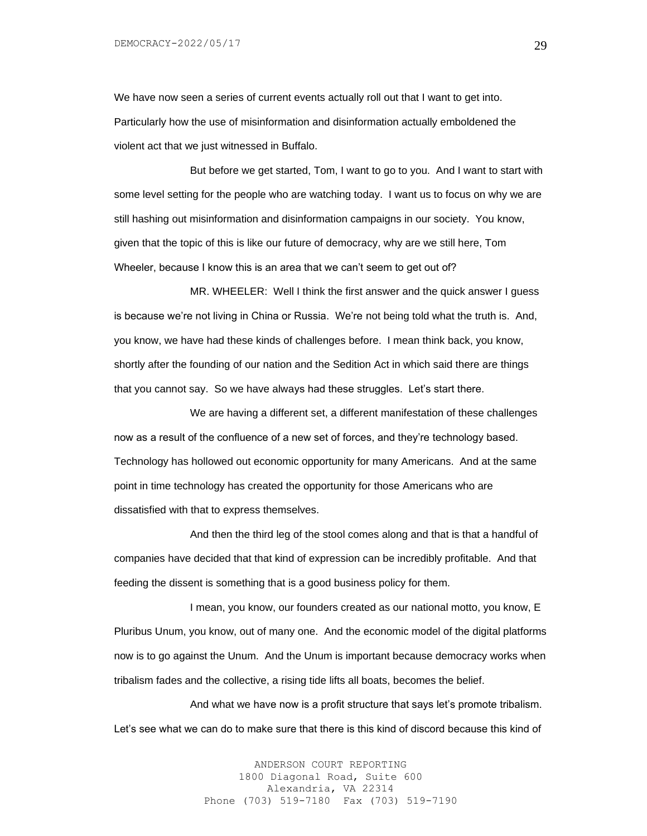We have now seen a series of current events actually roll out that I want to get into. Particularly how the use of misinformation and disinformation actually emboldened the violent act that we just witnessed in Buffalo.

But before we get started, Tom, I want to go to you. And I want to start with some level setting for the people who are watching today. I want us to focus on why we are still hashing out misinformation and disinformation campaigns in our society. You know, given that the topic of this is like our future of democracy, why are we still here, Tom Wheeler, because I know this is an area that we can't seem to get out of?

MR. WHEELER: Well I think the first answer and the quick answer I guess is because we're not living in China or Russia. We're not being told what the truth is. And, you know, we have had these kinds of challenges before. I mean think back, you know, shortly after the founding of our nation and the Sedition Act in which said there are things that you cannot say. So we have always had these struggles. Let's start there.

We are having a different set, a different manifestation of these challenges now as a result of the confluence of a new set of forces, and they're technology based. Technology has hollowed out economic opportunity for many Americans. And at the same point in time technology has created the opportunity for those Americans who are dissatisfied with that to express themselves.

And then the third leg of the stool comes along and that is that a handful of companies have decided that that kind of expression can be incredibly profitable. And that feeding the dissent is something that is a good business policy for them.

I mean, you know, our founders created as our national motto, you know, E Pluribus Unum, you know, out of many one. And the economic model of the digital platforms now is to go against the Unum. And the Unum is important because democracy works when tribalism fades and the collective, a rising tide lifts all boats, becomes the belief.

And what we have now is a profit structure that says let's promote tribalism. Let's see what we can do to make sure that there is this kind of discord because this kind of

> ANDERSON COURT REPORTING 1800 Diagonal Road, Suite 600 Alexandria, VA 22314 Phone (703) 519-7180 Fax (703) 519-7190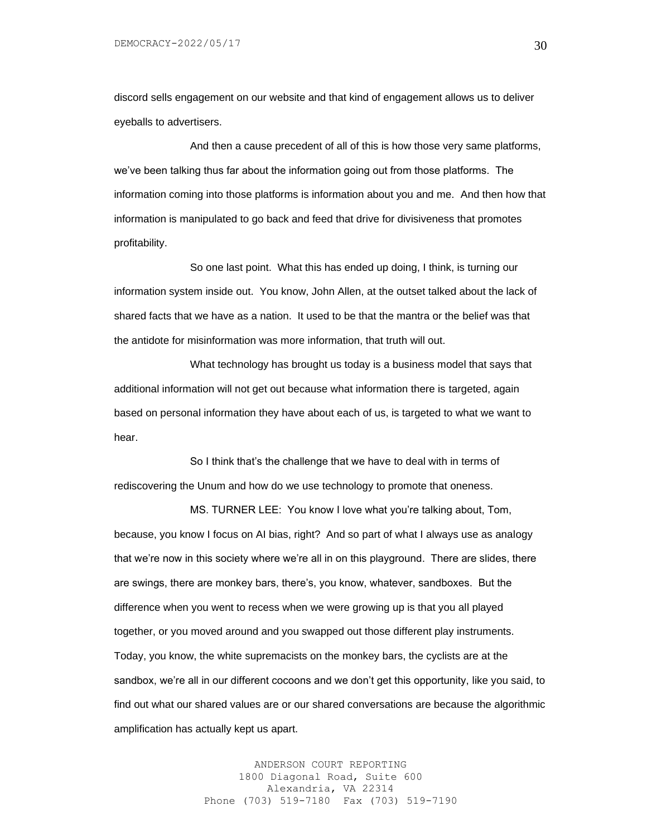discord sells engagement on our website and that kind of engagement allows us to deliver eyeballs to advertisers.

And then a cause precedent of all of this is how those very same platforms, we've been talking thus far about the information going out from those platforms. The information coming into those platforms is information about you and me. And then how that information is manipulated to go back and feed that drive for divisiveness that promotes profitability.

So one last point. What this has ended up doing, I think, is turning our information system inside out. You know, John Allen, at the outset talked about the lack of shared facts that we have as a nation. It used to be that the mantra or the belief was that the antidote for misinformation was more information, that truth will out.

What technology has brought us today is a business model that says that additional information will not get out because what information there is targeted, again based on personal information they have about each of us, is targeted to what we want to hear.

So I think that's the challenge that we have to deal with in terms of rediscovering the Unum and how do we use technology to promote that oneness.

MS. TURNER LEE: You know I love what you're talking about, Tom, because, you know I focus on AI bias, right? And so part of what I always use as analogy that we're now in this society where we're all in on this playground. There are slides, there are swings, there are monkey bars, there's, you know, whatever, sandboxes. But the difference when you went to recess when we were growing up is that you all played together, or you moved around and you swapped out those different play instruments. Today, you know, the white supremacists on the monkey bars, the cyclists are at the sandbox, we're all in our different cocoons and we don't get this opportunity, like you said, to find out what our shared values are or our shared conversations are because the algorithmic amplification has actually kept us apart.

> ANDERSON COURT REPORTING 1800 Diagonal Road, Suite 600 Alexandria, VA 22314 Phone (703) 519-7180 Fax (703) 519-7190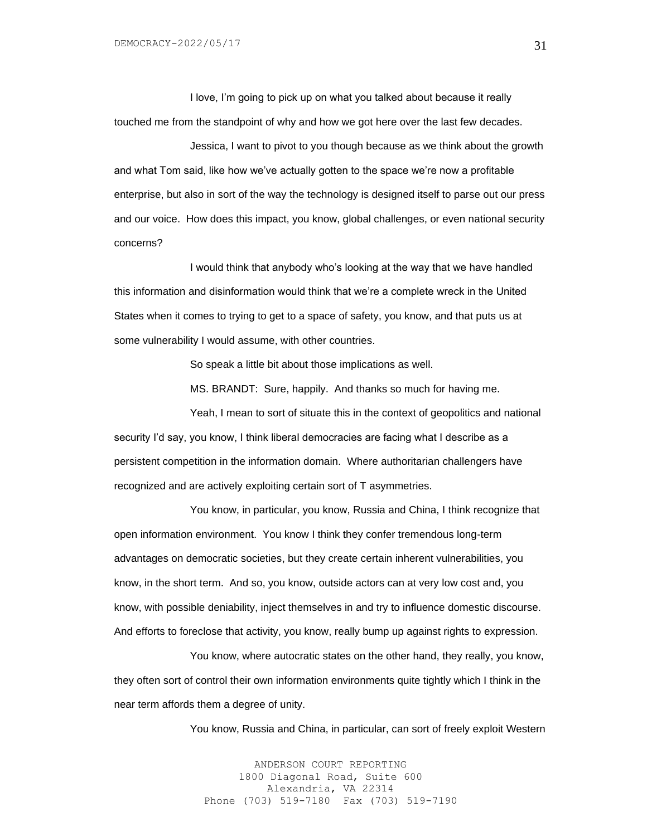I love, I'm going to pick up on what you talked about because it really touched me from the standpoint of why and how we got here over the last few decades.

Jessica, I want to pivot to you though because as we think about the growth and what Tom said, like how we've actually gotten to the space we're now a profitable enterprise, but also in sort of the way the technology is designed itself to parse out our press and our voice. How does this impact, you know, global challenges, or even national security concerns?

I would think that anybody who's looking at the way that we have handled this information and disinformation would think that we're a complete wreck in the United States when it comes to trying to get to a space of safety, you know, and that puts us at some vulnerability I would assume, with other countries.

So speak a little bit about those implications as well.

MS. BRANDT: Sure, happily. And thanks so much for having me.

Yeah, I mean to sort of situate this in the context of geopolitics and national security I'd say, you know, I think liberal democracies are facing what I describe as a persistent competition in the information domain. Where authoritarian challengers have recognized and are actively exploiting certain sort of T asymmetries.

You know, in particular, you know, Russia and China, I think recognize that open information environment. You know I think they confer tremendous long-term advantages on democratic societies, but they create certain inherent vulnerabilities, you know, in the short term. And so, you know, outside actors can at very low cost and, you know, with possible deniability, inject themselves in and try to influence domestic discourse. And efforts to foreclose that activity, you know, really bump up against rights to expression.

You know, where autocratic states on the other hand, they really, you know, they often sort of control their own information environments quite tightly which I think in the near term affords them a degree of unity.

You know, Russia and China, in particular, can sort of freely exploit Western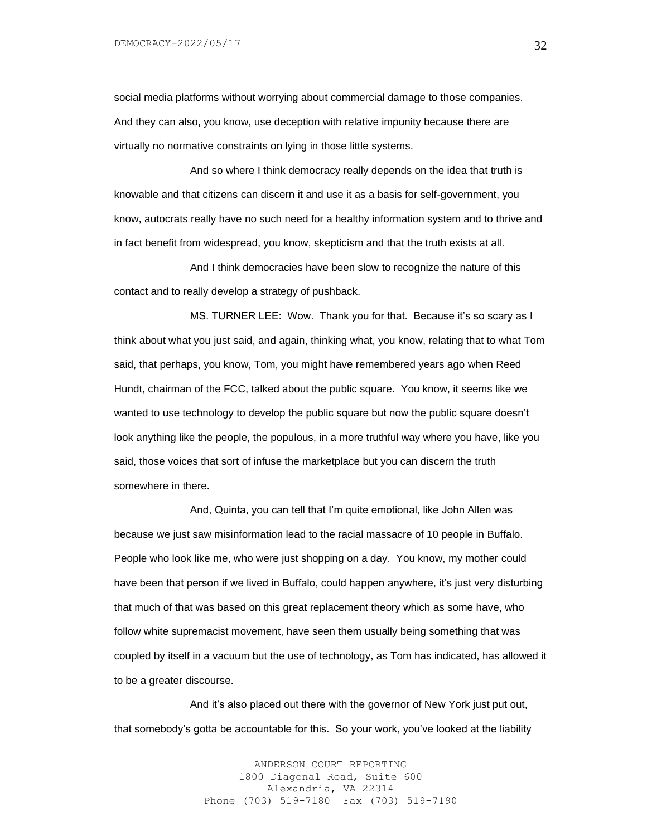social media platforms without worrying about commercial damage to those companies. And they can also, you know, use deception with relative impunity because there are virtually no normative constraints on lying in those little systems.

And so where I think democracy really depends on the idea that truth is knowable and that citizens can discern it and use it as a basis for self-government, you know, autocrats really have no such need for a healthy information system and to thrive and in fact benefit from widespread, you know, skepticism and that the truth exists at all.

And I think democracies have been slow to recognize the nature of this contact and to really develop a strategy of pushback.

MS. TURNER LEE: Wow. Thank you for that. Because it's so scary as I think about what you just said, and again, thinking what, you know, relating that to what Tom said, that perhaps, you know, Tom, you might have remembered years ago when Reed Hundt, chairman of the FCC, talked about the public square. You know, it seems like we wanted to use technology to develop the public square but now the public square doesn't look anything like the people, the populous, in a more truthful way where you have, like you said, those voices that sort of infuse the marketplace but you can discern the truth somewhere in there.

And, Quinta, you can tell that I'm quite emotional, like John Allen was because we just saw misinformation lead to the racial massacre of 10 people in Buffalo. People who look like me, who were just shopping on a day. You know, my mother could have been that person if we lived in Buffalo, could happen anywhere, it's just very disturbing that much of that was based on this great replacement theory which as some have, who follow white supremacist movement, have seen them usually being something that was coupled by itself in a vacuum but the use of technology, as Tom has indicated, has allowed it to be a greater discourse.

And it's also placed out there with the governor of New York just put out, that somebody's gotta be accountable for this. So your work, you've looked at the liability

> ANDERSON COURT REPORTING 1800 Diagonal Road, Suite 600 Alexandria, VA 22314 Phone (703) 519-7180 Fax (703) 519-7190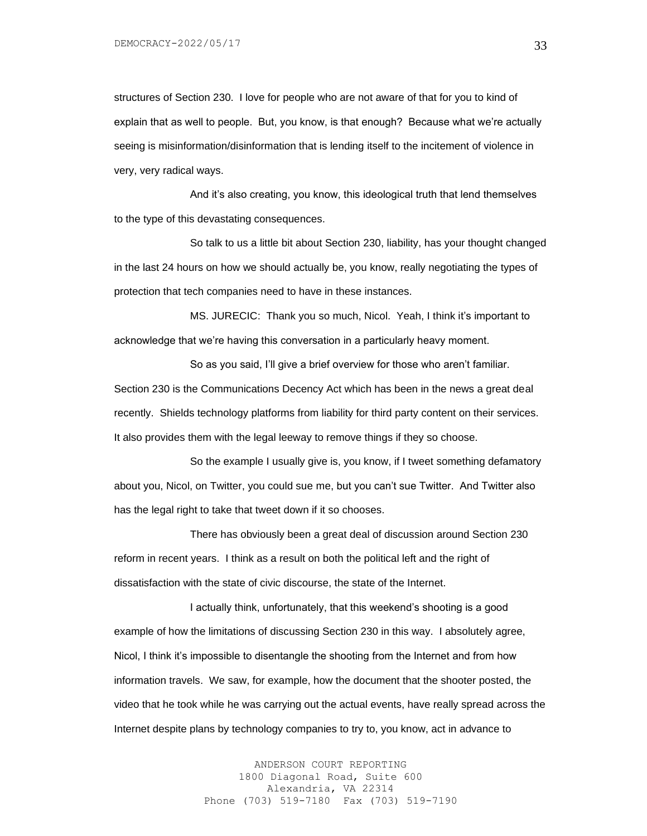structures of Section 230. I love for people who are not aware of that for you to kind of explain that as well to people. But, you know, is that enough? Because what we're actually seeing is misinformation/disinformation that is lending itself to the incitement of violence in very, very radical ways.

And it's also creating, you know, this ideological truth that lend themselves to the type of this devastating consequences.

So talk to us a little bit about Section 230, liability, has your thought changed in the last 24 hours on how we should actually be, you know, really negotiating the types of protection that tech companies need to have in these instances.

MS. JURECIC: Thank you so much, Nicol. Yeah, I think it's important to acknowledge that we're having this conversation in a particularly heavy moment.

So as you said, I'll give a brief overview for those who aren't familiar. Section 230 is the Communications Decency Act which has been in the news a great deal recently. Shields technology platforms from liability for third party content on their services. It also provides them with the legal leeway to remove things if they so choose.

So the example I usually give is, you know, if I tweet something defamatory about you, Nicol, on Twitter, you could sue me, but you can't sue Twitter. And Twitter also has the legal right to take that tweet down if it so chooses.

There has obviously been a great deal of discussion around Section 230 reform in recent years. I think as a result on both the political left and the right of dissatisfaction with the state of civic discourse, the state of the Internet.

I actually think, unfortunately, that this weekend's shooting is a good example of how the limitations of discussing Section 230 in this way. I absolutely agree, Nicol, I think it's impossible to disentangle the shooting from the Internet and from how information travels. We saw, for example, how the document that the shooter posted, the video that he took while he was carrying out the actual events, have really spread across the Internet despite plans by technology companies to try to, you know, act in advance to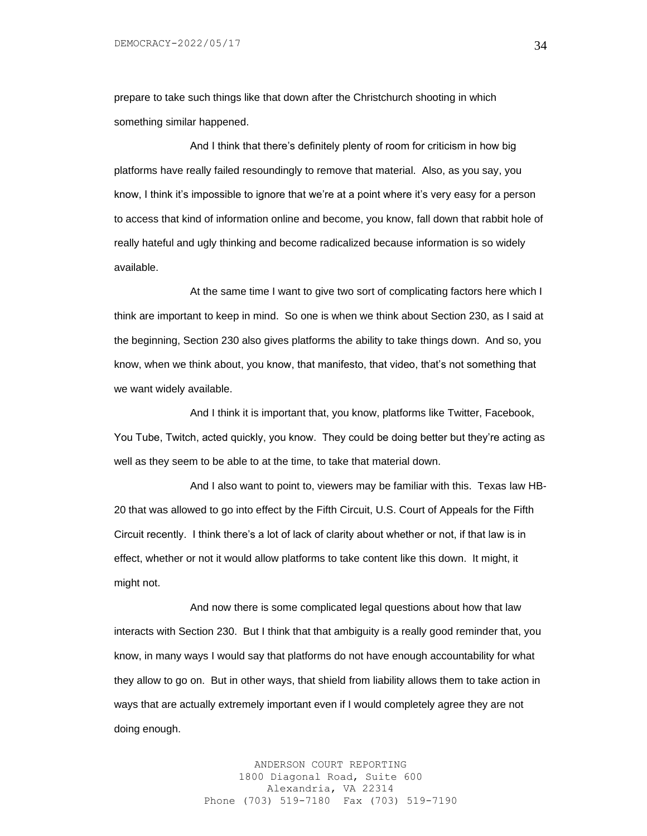prepare to take such things like that down after the Christchurch shooting in which something similar happened.

And I think that there's definitely plenty of room for criticism in how big platforms have really failed resoundingly to remove that material. Also, as you say, you know, I think it's impossible to ignore that we're at a point where it's very easy for a person to access that kind of information online and become, you know, fall down that rabbit hole of really hateful and ugly thinking and become radicalized because information is so widely available.

At the same time I want to give two sort of complicating factors here which I think are important to keep in mind. So one is when we think about Section 230, as I said at the beginning, Section 230 also gives platforms the ability to take things down. And so, you know, when we think about, you know, that manifesto, that video, that's not something that we want widely available.

And I think it is important that, you know, platforms like Twitter, Facebook, You Tube, Twitch, acted quickly, you know. They could be doing better but they're acting as well as they seem to be able to at the time, to take that material down.

And I also want to point to, viewers may be familiar with this. Texas law HB-20 that was allowed to go into effect by the Fifth Circuit, U.S. Court of Appeals for the Fifth Circuit recently. I think there's a lot of lack of clarity about whether or not, if that law is in effect, whether or not it would allow platforms to take content like this down. It might, it might not.

And now there is some complicated legal questions about how that law interacts with Section 230. But I think that that ambiguity is a really good reminder that, you know, in many ways I would say that platforms do not have enough accountability for what they allow to go on. But in other ways, that shield from liability allows them to take action in ways that are actually extremely important even if I would completely agree they are not doing enough.

> ANDERSON COURT REPORTING 1800 Diagonal Road, Suite 600 Alexandria, VA 22314 Phone (703) 519-7180 Fax (703) 519-7190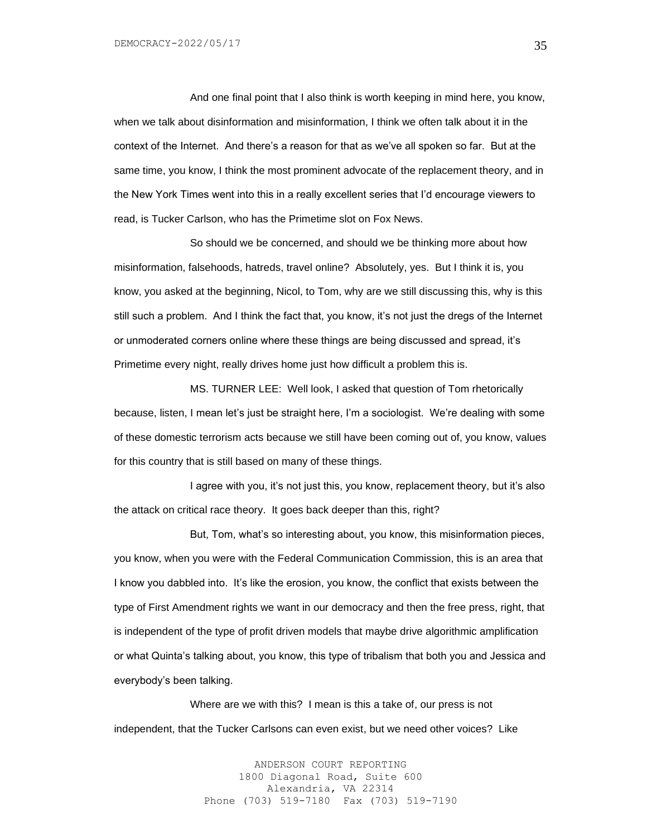And one final point that I also think is worth keeping in mind here, you know, when we talk about disinformation and misinformation, I think we often talk about it in the context of the Internet. And there's a reason for that as we've all spoken so far. But at the same time, you know, I think the most prominent advocate of the replacement theory, and in the New York Times went into this in a really excellent series that I'd encourage viewers to read, is Tucker Carlson, who has the Primetime slot on Fox News.

So should we be concerned, and should we be thinking more about how misinformation, falsehoods, hatreds, travel online? Absolutely, yes. But I think it is, you know, you asked at the beginning, Nicol, to Tom, why are we still discussing this, why is this still such a problem. And I think the fact that, you know, it's not just the dregs of the Internet or unmoderated corners online where these things are being discussed and spread, it's Primetime every night, really drives home just how difficult a problem this is.

MS. TURNER LEE: Well look, I asked that question of Tom rhetorically because, listen, I mean let's just be straight here, I'm a sociologist. We're dealing with some of these domestic terrorism acts because we still have been coming out of, you know, values for this country that is still based on many of these things.

I agree with you, it's not just this, you know, replacement theory, but it's also the attack on critical race theory. It goes back deeper than this, right?

But, Tom, what's so interesting about, you know, this misinformation pieces, you know, when you were with the Federal Communication Commission, this is an area that I know you dabbled into. It's like the erosion, you know, the conflict that exists between the type of First Amendment rights we want in our democracy and then the free press, right, that is independent of the type of profit driven models that maybe drive algorithmic amplification or what Quinta's talking about, you know, this type of tribalism that both you and Jessica and everybody's been talking.

Where are we with this? I mean is this a take of, our press is not independent, that the Tucker Carlsons can even exist, but we need other voices? Like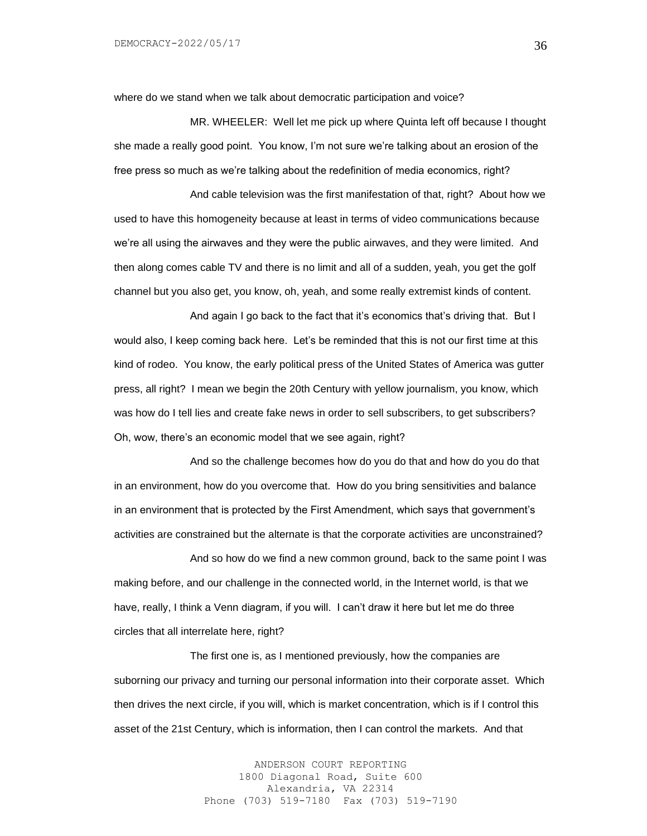where do we stand when we talk about democratic participation and voice?

MR. WHEELER: Well let me pick up where Quinta left off because I thought she made a really good point. You know, I'm not sure we're talking about an erosion of the free press so much as we're talking about the redefinition of media economics, right?

And cable television was the first manifestation of that, right? About how we used to have this homogeneity because at least in terms of video communications because we're all using the airwaves and they were the public airwaves, and they were limited. And then along comes cable TV and there is no limit and all of a sudden, yeah, you get the golf channel but you also get, you know, oh, yeah, and some really extremist kinds of content.

And again I go back to the fact that it's economics that's driving that. But I would also, I keep coming back here. Let's be reminded that this is not our first time at this kind of rodeo. You know, the early political press of the United States of America was gutter press, all right? I mean we begin the 20th Century with yellow journalism, you know, which was how do I tell lies and create fake news in order to sell subscribers, to get subscribers? Oh, wow, there's an economic model that we see again, right?

And so the challenge becomes how do you do that and how do you do that in an environment, how do you overcome that. How do you bring sensitivities and balance in an environment that is protected by the First Amendment, which says that government's activities are constrained but the alternate is that the corporate activities are unconstrained?

And so how do we find a new common ground, back to the same point I was making before, and our challenge in the connected world, in the Internet world, is that we have, really, I think a Venn diagram, if you will. I can't draw it here but let me do three circles that all interrelate here, right?

The first one is, as I mentioned previously, how the companies are suborning our privacy and turning our personal information into their corporate asset. Which then drives the next circle, if you will, which is market concentration, which is if I control this asset of the 21st Century, which is information, then I can control the markets. And that

> ANDERSON COURT REPORTING 1800 Diagonal Road, Suite 600 Alexandria, VA 22314 Phone (703) 519-7180 Fax (703) 519-7190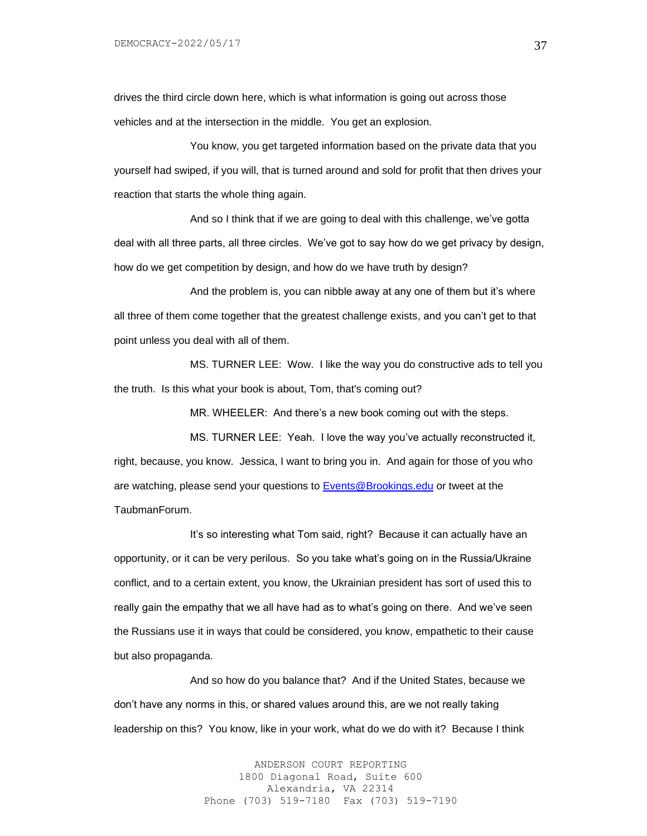drives the third circle down here, which is what information is going out across those vehicles and at the intersection in the middle. You get an explosion.

You know, you get targeted information based on the private data that you yourself had swiped, if you will, that is turned around and sold for profit that then drives your reaction that starts the whole thing again.

And so I think that if we are going to deal with this challenge, we've gotta deal with all three parts, all three circles. We've got to say how do we get privacy by design, how do we get competition by design, and how do we have truth by design?

And the problem is, you can nibble away at any one of them but it's where all three of them come together that the greatest challenge exists, and you can't get to that point unless you deal with all of them.

MS. TURNER LEE: Wow. I like the way you do constructive ads to tell you the truth. Is this what your book is about, Tom, that's coming out?

MR. WHEELER: And there's a new book coming out with the steps.

MS. TURNER LEE: Yeah. I love the way you've actually reconstructed it, right, because, you know. Jessica, I want to bring you in. And again for those of you who are watching, please send your questions to [Events@Brookings.edu](mailto:Events@Brookings.edu) or tweet at the TaubmanForum.

It's so interesting what Tom said, right? Because it can actually have an opportunity, or it can be very perilous. So you take what's going on in the Russia/Ukraine conflict, and to a certain extent, you know, the Ukrainian president has sort of used this to really gain the empathy that we all have had as to what's going on there. And we've seen the Russians use it in ways that could be considered, you know, empathetic to their cause but also propaganda.

And so how do you balance that? And if the United States, because we don't have any norms in this, or shared values around this, are we not really taking leadership on this? You know, like in your work, what do we do with it? Because I think

> ANDERSON COURT REPORTING 1800 Diagonal Road, Suite 600 Alexandria, VA 22314 Phone (703) 519-7180 Fax (703) 519-7190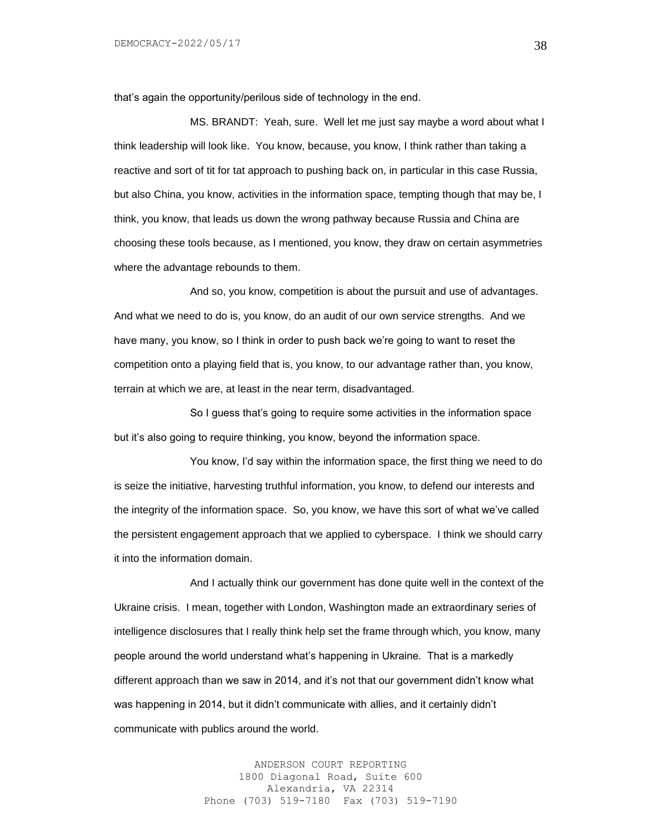that's again the opportunity/perilous side of technology in the end.

MS. BRANDT: Yeah, sure. Well let me just say maybe a word about what I think leadership will look like. You know, because, you know, I think rather than taking a reactive and sort of tit for tat approach to pushing back on, in particular in this case Russia, but also China, you know, activities in the information space, tempting though that may be, I think, you know, that leads us down the wrong pathway because Russia and China are choosing these tools because, as I mentioned, you know, they draw on certain asymmetries where the advantage rebounds to them.

And so, you know, competition is about the pursuit and use of advantages. And what we need to do is, you know, do an audit of our own service strengths. And we have many, you know, so I think in order to push back we're going to want to reset the competition onto a playing field that is, you know, to our advantage rather than, you know, terrain at which we are, at least in the near term, disadvantaged.

So I guess that's going to require some activities in the information space but it's also going to require thinking, you know, beyond the information space.

You know, I'd say within the information space, the first thing we need to do is seize the initiative, harvesting truthful information, you know, to defend our interests and the integrity of the information space. So, you know, we have this sort of what we've called the persistent engagement approach that we applied to cyberspace. I think we should carry it into the information domain.

And I actually think our government has done quite well in the context of the Ukraine crisis. I mean, together with London, Washington made an extraordinary series of intelligence disclosures that I really think help set the frame through which, you know, many people around the world understand what's happening in Ukraine. That is a markedly different approach than we saw in 2014, and it's not that our government didn't know what was happening in 2014, but it didn't communicate with allies, and it certainly didn't communicate with publics around the world.

> ANDERSON COURT REPORTING 1800 Diagonal Road, Suite 600 Alexandria, VA 22314 Phone (703) 519-7180 Fax (703) 519-7190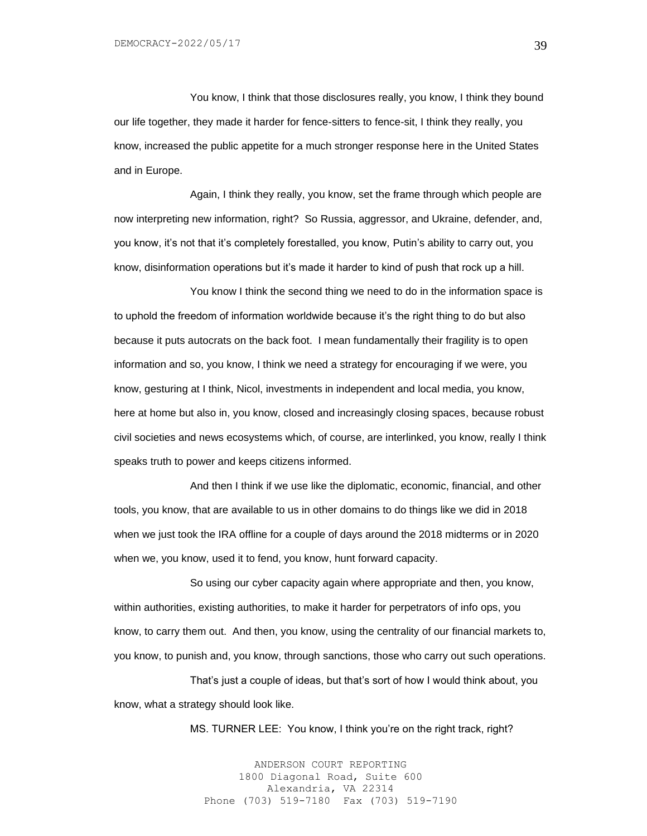You know, I think that those disclosures really, you know, I think they bound our life together, they made it harder for fence-sitters to fence-sit, I think they really, you know, increased the public appetite for a much stronger response here in the United States and in Europe.

Again, I think they really, you know, set the frame through which people are now interpreting new information, right? So Russia, aggressor, and Ukraine, defender, and, you know, it's not that it's completely forestalled, you know, Putin's ability to carry out, you know, disinformation operations but it's made it harder to kind of push that rock up a hill.

You know I think the second thing we need to do in the information space is to uphold the freedom of information worldwide because it's the right thing to do but also because it puts autocrats on the back foot. I mean fundamentally their fragility is to open information and so, you know, I think we need a strategy for encouraging if we were, you know, gesturing at I think, Nicol, investments in independent and local media, you know, here at home but also in, you know, closed and increasingly closing spaces, because robust civil societies and news ecosystems which, of course, are interlinked, you know, really I think speaks truth to power and keeps citizens informed.

And then I think if we use like the diplomatic, economic, financial, and other tools, you know, that are available to us in other domains to do things like we did in 2018 when we just took the IRA offline for a couple of days around the 2018 midterms or in 2020 when we, you know, used it to fend, you know, hunt forward capacity.

So using our cyber capacity again where appropriate and then, you know, within authorities, existing authorities, to make it harder for perpetrators of info ops, you know, to carry them out. And then, you know, using the centrality of our financial markets to, you know, to punish and, you know, through sanctions, those who carry out such operations.

That's just a couple of ideas, but that's sort of how I would think about, you know, what a strategy should look like.

MS. TURNER LEE: You know, I think you're on the right track, right?

ANDERSON COURT REPORTING 1800 Diagonal Road, Suite 600 Alexandria, VA 22314 Phone (703) 519-7180 Fax (703) 519-7190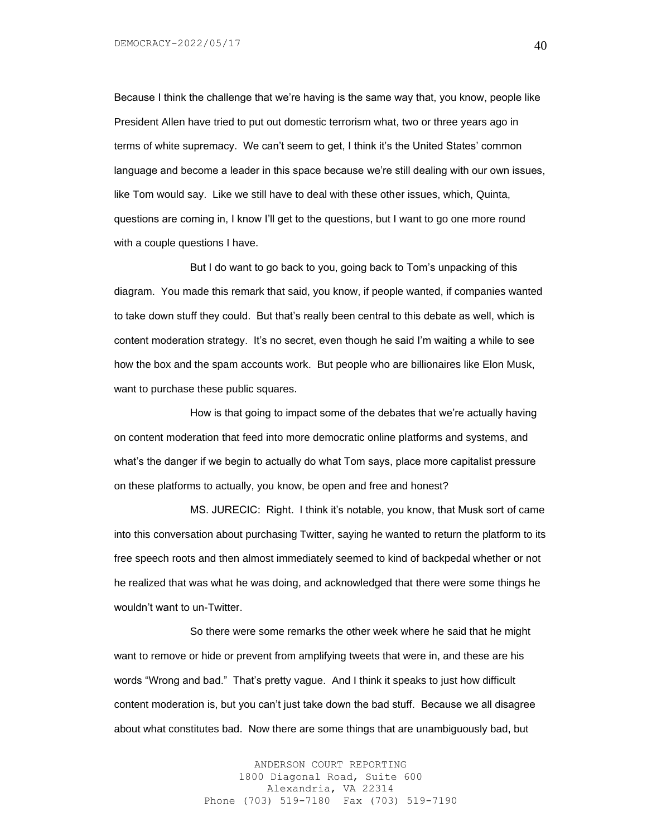Because I think the challenge that we're having is the same way that, you know, people like President Allen have tried to put out domestic terrorism what, two or three years ago in terms of white supremacy. We can't seem to get, I think it's the United States' common language and become a leader in this space because we're still dealing with our own issues, like Tom would say. Like we still have to deal with these other issues, which, Quinta, questions are coming in, I know I'll get to the questions, but I want to go one more round with a couple questions I have.

But I do want to go back to you, going back to Tom's unpacking of this diagram. You made this remark that said, you know, if people wanted, if companies wanted to take down stuff they could. But that's really been central to this debate as well, which is content moderation strategy. It's no secret, even though he said I'm waiting a while to see how the box and the spam accounts work. But people who are billionaires like Elon Musk, want to purchase these public squares.

How is that going to impact some of the debates that we're actually having on content moderation that feed into more democratic online platforms and systems, and what's the danger if we begin to actually do what Tom says, place more capitalist pressure on these platforms to actually, you know, be open and free and honest?

MS. JURECIC: Right. I think it's notable, you know, that Musk sort of came into this conversation about purchasing Twitter, saying he wanted to return the platform to its free speech roots and then almost immediately seemed to kind of backpedal whether or not he realized that was what he was doing, and acknowledged that there were some things he wouldn't want to un-Twitter.

So there were some remarks the other week where he said that he might want to remove or hide or prevent from amplifying tweets that were in, and these are his words "Wrong and bad." That's pretty vague. And I think it speaks to just how difficult content moderation is, but you can't just take down the bad stuff. Because we all disagree about what constitutes bad. Now there are some things that are unambiguously bad, but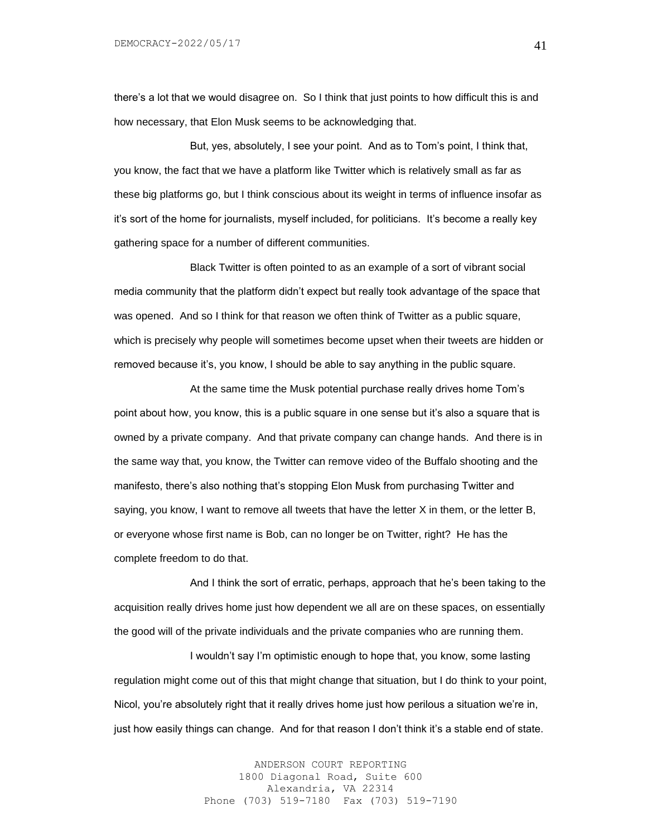there's a lot that we would disagree on. So I think that just points to how difficult this is and how necessary, that Elon Musk seems to be acknowledging that.

But, yes, absolutely, I see your point. And as to Tom's point, I think that, you know, the fact that we have a platform like Twitter which is relatively small as far as these big platforms go, but I think conscious about its weight in terms of influence insofar as it's sort of the home for journalists, myself included, for politicians. It's become a really key gathering space for a number of different communities.

Black Twitter is often pointed to as an example of a sort of vibrant social media community that the platform didn't expect but really took advantage of the space that was opened. And so I think for that reason we often think of Twitter as a public square, which is precisely why people will sometimes become upset when their tweets are hidden or removed because it's, you know, I should be able to say anything in the public square.

At the same time the Musk potential purchase really drives home Tom's point about how, you know, this is a public square in one sense but it's also a square that is owned by a private company. And that private company can change hands. And there is in the same way that, you know, the Twitter can remove video of the Buffalo shooting and the manifesto, there's also nothing that's stopping Elon Musk from purchasing Twitter and saying, you know, I want to remove all tweets that have the letter X in them, or the letter B, or everyone whose first name is Bob, can no longer be on Twitter, right? He has the complete freedom to do that.

And I think the sort of erratic, perhaps, approach that he's been taking to the acquisition really drives home just how dependent we all are on these spaces, on essentially the good will of the private individuals and the private companies who are running them.

I wouldn't say I'm optimistic enough to hope that, you know, some lasting regulation might come out of this that might change that situation, but I do think to your point, Nicol, you're absolutely right that it really drives home just how perilous a situation we're in, just how easily things can change. And for that reason I don't think it's a stable end of state.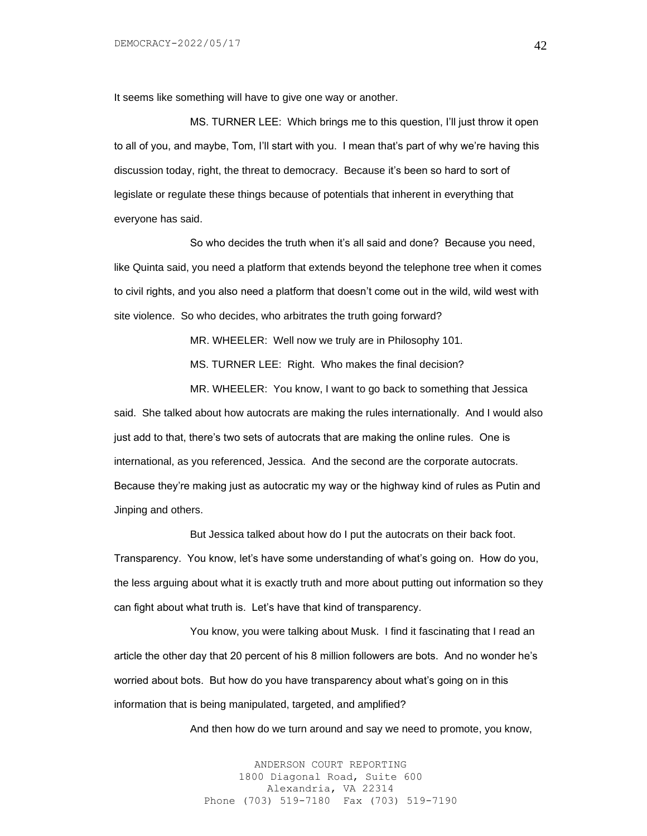It seems like something will have to give one way or another.

MS. TURNER LEE: Which brings me to this question, I'll just throw it open to all of you, and maybe, Tom, I'll start with you. I mean that's part of why we're having this discussion today, right, the threat to democracy. Because it's been so hard to sort of legislate or regulate these things because of potentials that inherent in everything that everyone has said.

So who decides the truth when it's all said and done? Because you need, like Quinta said, you need a platform that extends beyond the telephone tree when it comes to civil rights, and you also need a platform that doesn't come out in the wild, wild west with site violence. So who decides, who arbitrates the truth going forward?

MR. WHEELER: Well now we truly are in Philosophy 101.

MS. TURNER LEE: Right. Who makes the final decision?

MR. WHEELER: You know, I want to go back to something that Jessica said. She talked about how autocrats are making the rules internationally. And I would also just add to that, there's two sets of autocrats that are making the online rules. One is international, as you referenced, Jessica. And the second are the corporate autocrats. Because they're making just as autocratic my way or the highway kind of rules as Putin and Jinping and others.

But Jessica talked about how do I put the autocrats on their back foot. Transparency. You know, let's have some understanding of what's going on. How do you, the less arguing about what it is exactly truth and more about putting out information so they can fight about what truth is. Let's have that kind of transparency.

You know, you were talking about Musk. I find it fascinating that I read an article the other day that 20 percent of his 8 million followers are bots. And no wonder he's worried about bots. But how do you have transparency about what's going on in this information that is being manipulated, targeted, and amplified?

And then how do we turn around and say we need to promote, you know,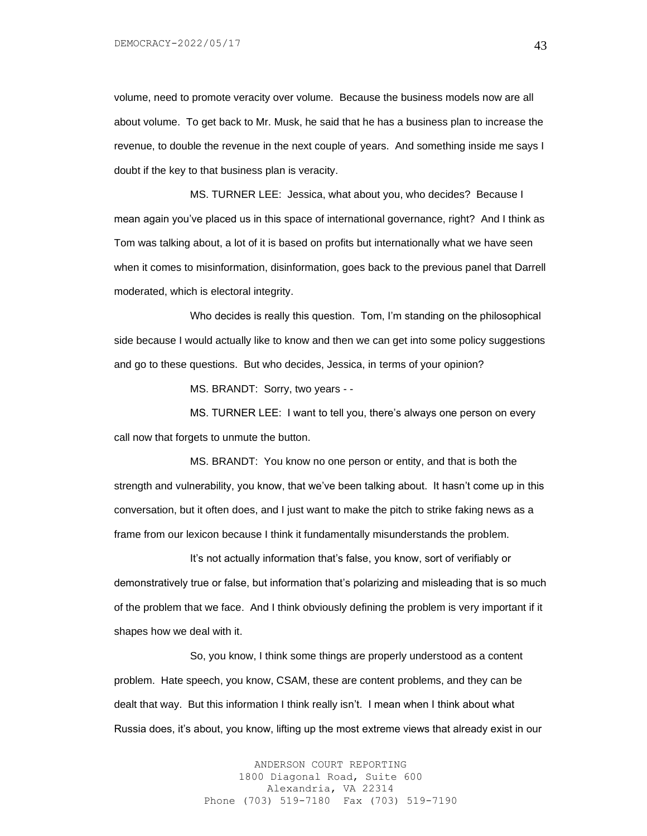volume, need to promote veracity over volume. Because the business models now are all about volume. To get back to Mr. Musk, he said that he has a business plan to increase the revenue, to double the revenue in the next couple of years. And something inside me says I doubt if the key to that business plan is veracity.

MS. TURNER LEE: Jessica, what about you, who decides? Because I mean again you've placed us in this space of international governance, right? And I think as Tom was talking about, a lot of it is based on profits but internationally what we have seen when it comes to misinformation, disinformation, goes back to the previous panel that Darrell moderated, which is electoral integrity.

Who decides is really this question. Tom, I'm standing on the philosophical side because I would actually like to know and then we can get into some policy suggestions and go to these questions. But who decides, Jessica, in terms of your opinion?

MS. BRANDT: Sorry, two years - -

MS. TURNER LEE: I want to tell you, there's always one person on every call now that forgets to unmute the button.

MS. BRANDT: You know no one person or entity, and that is both the strength and vulnerability, you know, that we've been talking about. It hasn't come up in this conversation, but it often does, and I just want to make the pitch to strike faking news as a frame from our lexicon because I think it fundamentally misunderstands the problem.

It's not actually information that's false, you know, sort of verifiably or demonstratively true or false, but information that's polarizing and misleading that is so much of the problem that we face. And I think obviously defining the problem is very important if it shapes how we deal with it.

So, you know, I think some things are properly understood as a content problem. Hate speech, you know, CSAM, these are content problems, and they can be dealt that way. But this information I think really isn't. I mean when I think about what Russia does, it's about, you know, lifting up the most extreme views that already exist in our

> ANDERSON COURT REPORTING 1800 Diagonal Road, Suite 600 Alexandria, VA 22314 Phone (703) 519-7180 Fax (703) 519-7190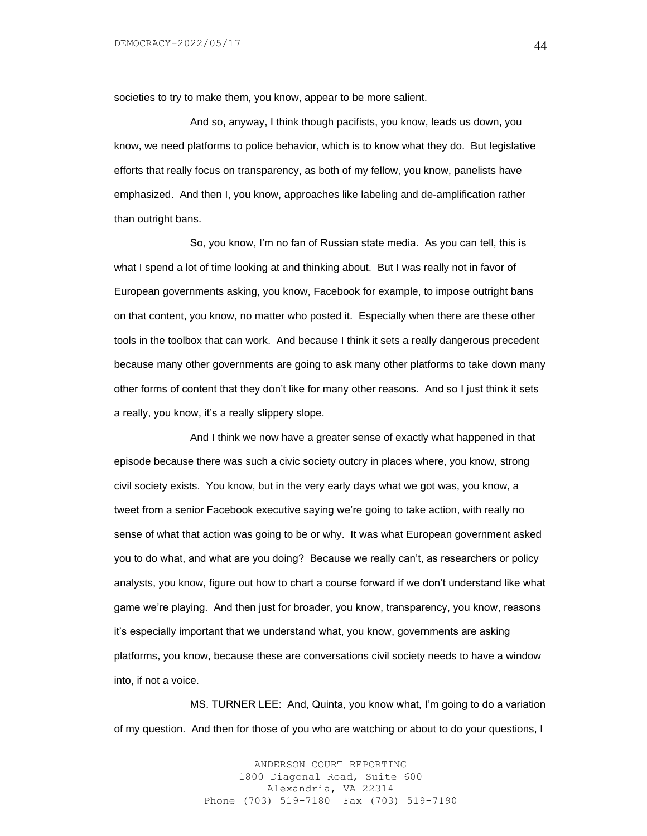societies to try to make them, you know, appear to be more salient.

And so, anyway, I think though pacifists, you know, leads us down, you know, we need platforms to police behavior, which is to know what they do. But legislative efforts that really focus on transparency, as both of my fellow, you know, panelists have emphasized. And then I, you know, approaches like labeling and de-amplification rather than outright bans.

So, you know, I'm no fan of Russian state media. As you can tell, this is what I spend a lot of time looking at and thinking about. But I was really not in favor of European governments asking, you know, Facebook for example, to impose outright bans on that content, you know, no matter who posted it. Especially when there are these other tools in the toolbox that can work. And because I think it sets a really dangerous precedent because many other governments are going to ask many other platforms to take down many other forms of content that they don't like for many other reasons. And so I just think it sets a really, you know, it's a really slippery slope.

And I think we now have a greater sense of exactly what happened in that episode because there was such a civic society outcry in places where, you know, strong civil society exists. You know, but in the very early days what we got was, you know, a tweet from a senior Facebook executive saying we're going to take action, with really no sense of what that action was going to be or why. It was what European government asked you to do what, and what are you doing? Because we really can't, as researchers or policy analysts, you know, figure out how to chart a course forward if we don't understand like what game we're playing. And then just for broader, you know, transparency, you know, reasons it's especially important that we understand what, you know, governments are asking platforms, you know, because these are conversations civil society needs to have a window into, if not a voice.

MS. TURNER LEE: And, Quinta, you know what, I'm going to do a variation of my question. And then for those of you who are watching or about to do your questions, I

> ANDERSON COURT REPORTING 1800 Diagonal Road, Suite 600 Alexandria, VA 22314 Phone (703) 519-7180 Fax (703) 519-7190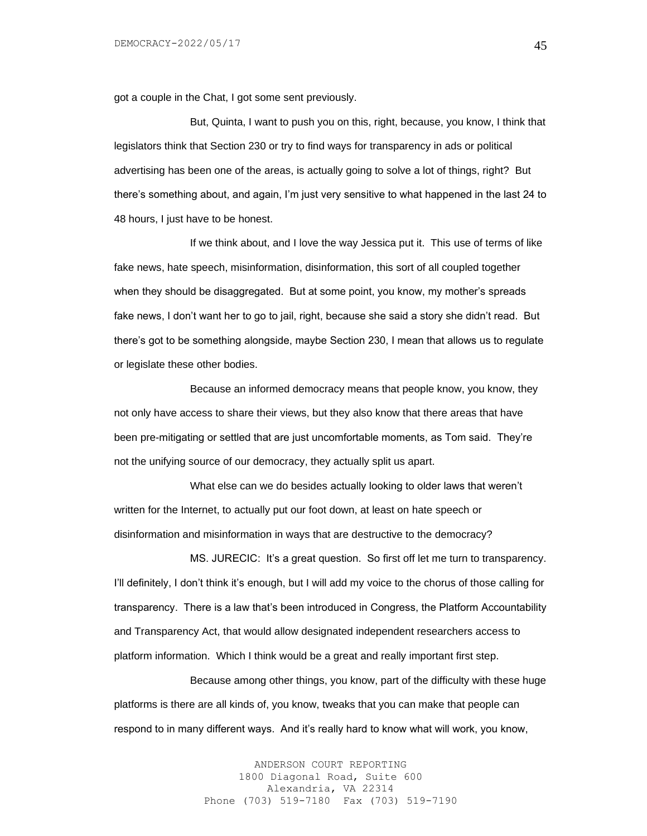got a couple in the Chat, I got some sent previously.

But, Quinta, I want to push you on this, right, because, you know, I think that legislators think that Section 230 or try to find ways for transparency in ads or political advertising has been one of the areas, is actually going to solve a lot of things, right? But there's something about, and again, I'm just very sensitive to what happened in the last 24 to 48 hours, I just have to be honest.

If we think about, and I love the way Jessica put it. This use of terms of like fake news, hate speech, misinformation, disinformation, this sort of all coupled together when they should be disaggregated. But at some point, you know, my mother's spreads fake news, I don't want her to go to jail, right, because she said a story she didn't read. But there's got to be something alongside, maybe Section 230, I mean that allows us to regulate or legislate these other bodies.

Because an informed democracy means that people know, you know, they not only have access to share their views, but they also know that there areas that have been pre-mitigating or settled that are just uncomfortable moments, as Tom said. They're not the unifying source of our democracy, they actually split us apart.

What else can we do besides actually looking to older laws that weren't written for the Internet, to actually put our foot down, at least on hate speech or disinformation and misinformation in ways that are destructive to the democracy?

MS. JURECIC: It's a great question. So first off let me turn to transparency. I'll definitely, I don't think it's enough, but I will add my voice to the chorus of those calling for transparency. There is a law that's been introduced in Congress, the Platform Accountability and Transparency Act, that would allow designated independent researchers access to platform information. Which I think would be a great and really important first step.

Because among other things, you know, part of the difficulty with these huge platforms is there are all kinds of, you know, tweaks that you can make that people can respond to in many different ways. And it's really hard to know what will work, you know,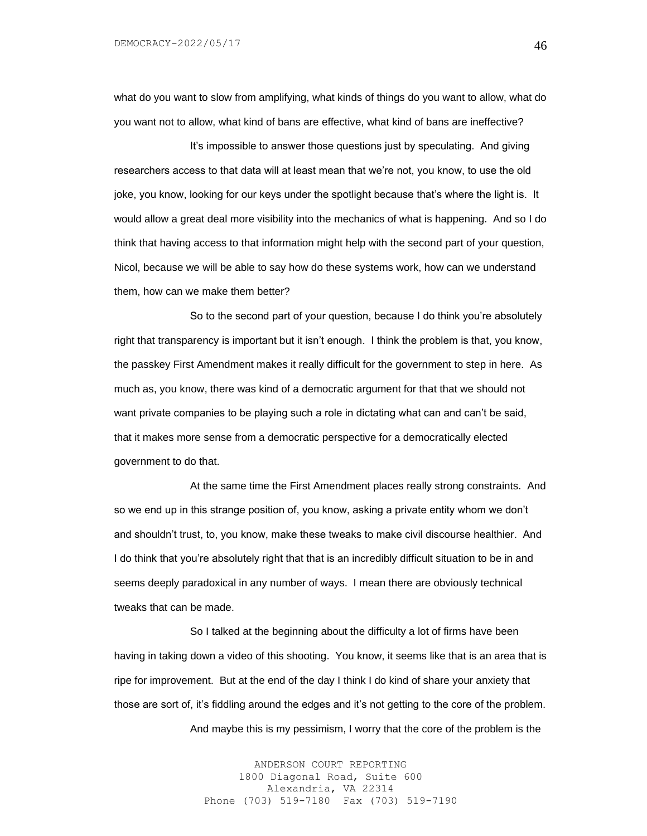what do you want to slow from amplifying, what kinds of things do you want to allow, what do you want not to allow, what kind of bans are effective, what kind of bans are ineffective?

It's impossible to answer those questions just by speculating. And giving researchers access to that data will at least mean that we're not, you know, to use the old joke, you know, looking for our keys under the spotlight because that's where the light is. It would allow a great deal more visibility into the mechanics of what is happening. And so I do think that having access to that information might help with the second part of your question, Nicol, because we will be able to say how do these systems work, how can we understand them, how can we make them better?

So to the second part of your question, because I do think you're absolutely right that transparency is important but it isn't enough. I think the problem is that, you know, the passkey First Amendment makes it really difficult for the government to step in here. As much as, you know, there was kind of a democratic argument for that that we should not want private companies to be playing such a role in dictating what can and can't be said, that it makes more sense from a democratic perspective for a democratically elected government to do that.

At the same time the First Amendment places really strong constraints. And so we end up in this strange position of, you know, asking a private entity whom we don't and shouldn't trust, to, you know, make these tweaks to make civil discourse healthier. And I do think that you're absolutely right that that is an incredibly difficult situation to be in and seems deeply paradoxical in any number of ways. I mean there are obviously technical tweaks that can be made.

So I talked at the beginning about the difficulty a lot of firms have been having in taking down a video of this shooting. You know, it seems like that is an area that is ripe for improvement. But at the end of the day I think I do kind of share your anxiety that those are sort of, it's fiddling around the edges and it's not getting to the core of the problem.

And maybe this is my pessimism, I worry that the core of the problem is the

ANDERSON COURT REPORTING 1800 Diagonal Road, Suite 600 Alexandria, VA 22314 Phone (703) 519-7180 Fax (703) 519-7190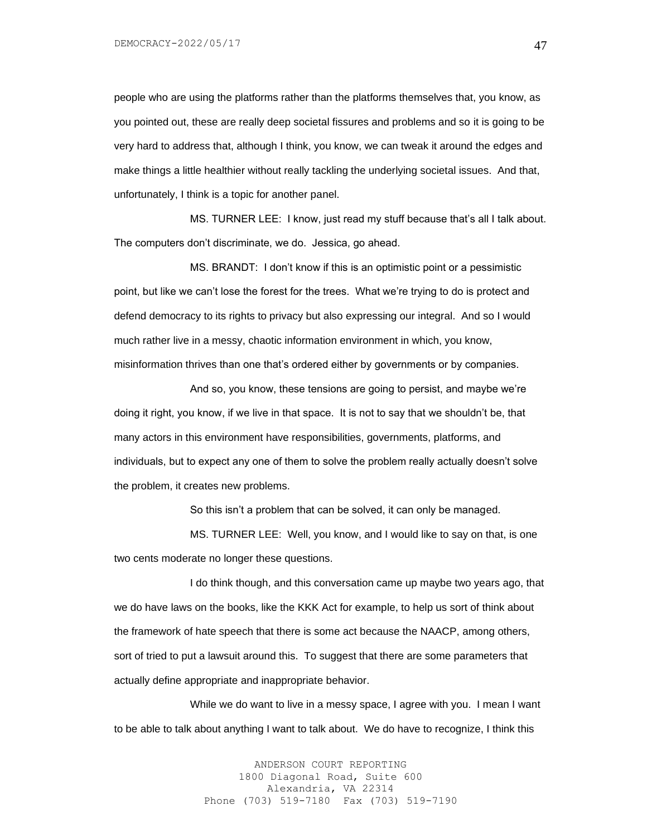DEMOCRACY-2022/05/17

people who are using the platforms rather than the platforms themselves that, you know, as you pointed out, these are really deep societal fissures and problems and so it is going to be very hard to address that, although I think, you know, we can tweak it around the edges and make things a little healthier without really tackling the underlying societal issues. And that, unfortunately, I think is a topic for another panel.

MS. TURNER LEE: I know, just read my stuff because that's all I talk about. The computers don't discriminate, we do. Jessica, go ahead.

MS. BRANDT: I don't know if this is an optimistic point or a pessimistic point, but like we can't lose the forest for the trees. What we're trying to do is protect and defend democracy to its rights to privacy but also expressing our integral. And so I would much rather live in a messy, chaotic information environment in which, you know, misinformation thrives than one that's ordered either by governments or by companies.

And so, you know, these tensions are going to persist, and maybe we're doing it right, you know, if we live in that space. It is not to say that we shouldn't be, that many actors in this environment have responsibilities, governments, platforms, and individuals, but to expect any one of them to solve the problem really actually doesn't solve the problem, it creates new problems.

So this isn't a problem that can be solved, it can only be managed.

MS. TURNER LEE: Well, you know, and I would like to say on that, is one two cents moderate no longer these questions.

I do think though, and this conversation came up maybe two years ago, that we do have laws on the books, like the KKK Act for example, to help us sort of think about the framework of hate speech that there is some act because the NAACP, among others, sort of tried to put a lawsuit around this. To suggest that there are some parameters that actually define appropriate and inappropriate behavior.

While we do want to live in a messy space, I agree with you. I mean I want to be able to talk about anything I want to talk about. We do have to recognize, I think this

> ANDERSON COURT REPORTING 1800 Diagonal Road, Suite 600 Alexandria, VA 22314 Phone (703) 519-7180 Fax (703) 519-7190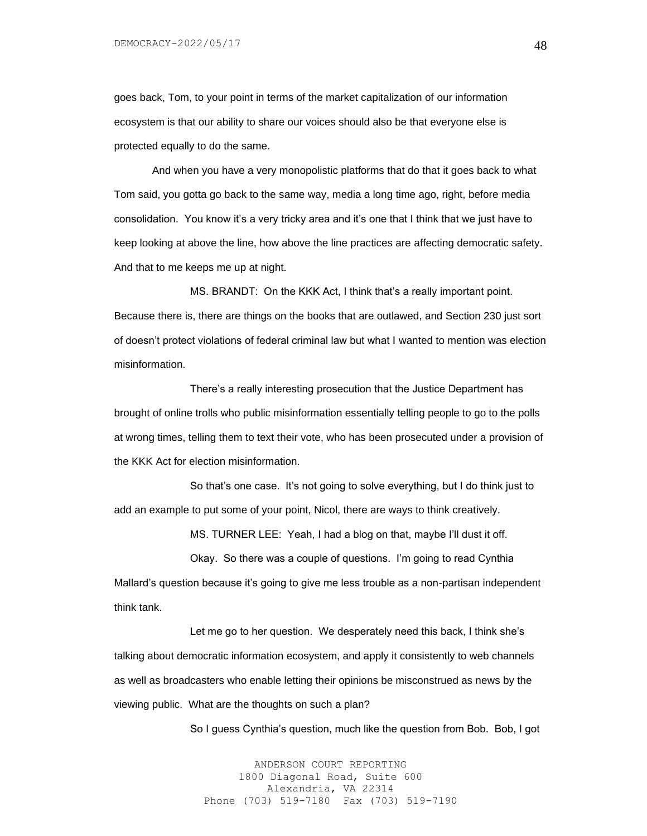goes back, Tom, to your point in terms of the market capitalization of our information ecosystem is that our ability to share our voices should also be that everyone else is protected equally to do the same.

And when you have a very monopolistic platforms that do that it goes back to what Tom said, you gotta go back to the same way, media a long time ago, right, before media consolidation. You know it's a very tricky area and it's one that I think that we just have to keep looking at above the line, how above the line practices are affecting democratic safety. And that to me keeps me up at night.

MS. BRANDT: On the KKK Act, I think that's a really important point. Because there is, there are things on the books that are outlawed, and Section 230 just sort of doesn't protect violations of federal criminal law but what I wanted to mention was election misinformation.

There's a really interesting prosecution that the Justice Department has brought of online trolls who public misinformation essentially telling people to go to the polls at wrong times, telling them to text their vote, who has been prosecuted under a provision of the KKK Act for election misinformation.

So that's one case. It's not going to solve everything, but I do think just to add an example to put some of your point, Nicol, there are ways to think creatively.

MS. TURNER LEE: Yeah, I had a blog on that, maybe I'll dust it off.

Okay. So there was a couple of questions. I'm going to read Cynthia Mallard's question because it's going to give me less trouble as a non-partisan independent think tank.

Let me go to her question. We desperately need this back, I think she's talking about democratic information ecosystem, and apply it consistently to web channels as well as broadcasters who enable letting their opinions be misconstrued as news by the viewing public. What are the thoughts on such a plan?

So I guess Cynthia's question, much like the question from Bob. Bob, I got

ANDERSON COURT REPORTING 1800 Diagonal Road, Suite 600 Alexandria, VA 22314 Phone (703) 519-7180 Fax (703) 519-7190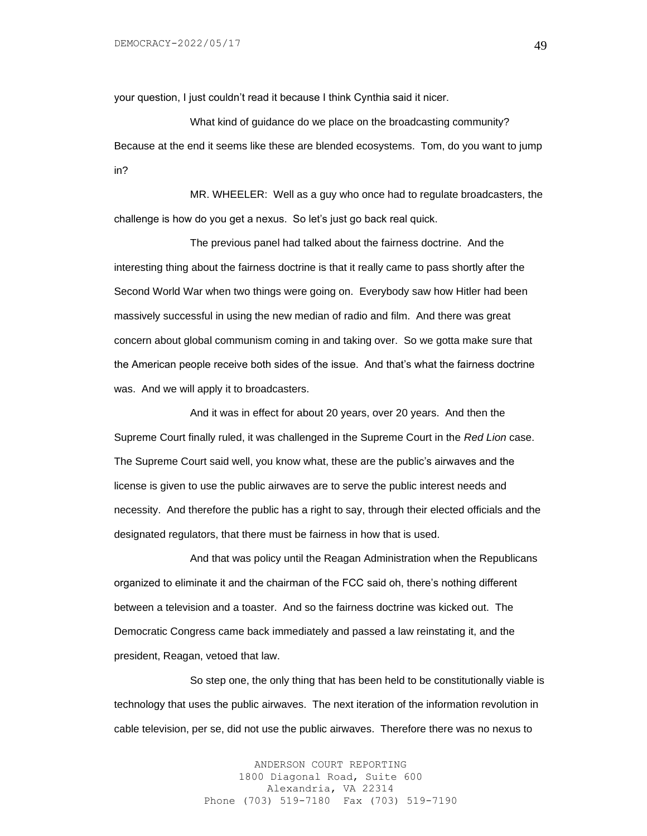your question, I just couldn't read it because I think Cynthia said it nicer.

What kind of guidance do we place on the broadcasting community? Because at the end it seems like these are blended ecosystems. Tom, do you want to jump in?

MR. WHEELER: Well as a guy who once had to regulate broadcasters, the challenge is how do you get a nexus. So let's just go back real quick.

The previous panel had talked about the fairness doctrine. And the interesting thing about the fairness doctrine is that it really came to pass shortly after the Second World War when two things were going on. Everybody saw how Hitler had been massively successful in using the new median of radio and film. And there was great concern about global communism coming in and taking over. So we gotta make sure that the American people receive both sides of the issue. And that's what the fairness doctrine was. And we will apply it to broadcasters.

And it was in effect for about 20 years, over 20 years. And then the Supreme Court finally ruled, it was challenged in the Supreme Court in the *Red Lion* case. The Supreme Court said well, you know what, these are the public's airwaves and the license is given to use the public airwaves are to serve the public interest needs and necessity. And therefore the public has a right to say, through their elected officials and the designated regulators, that there must be fairness in how that is used.

And that was policy until the Reagan Administration when the Republicans organized to eliminate it and the chairman of the FCC said oh, there's nothing different between a television and a toaster. And so the fairness doctrine was kicked out. The Democratic Congress came back immediately and passed a law reinstating it, and the president, Reagan, vetoed that law.

So step one, the only thing that has been held to be constitutionally viable is technology that uses the public airwaves. The next iteration of the information revolution in cable television, per se, did not use the public airwaves. Therefore there was no nexus to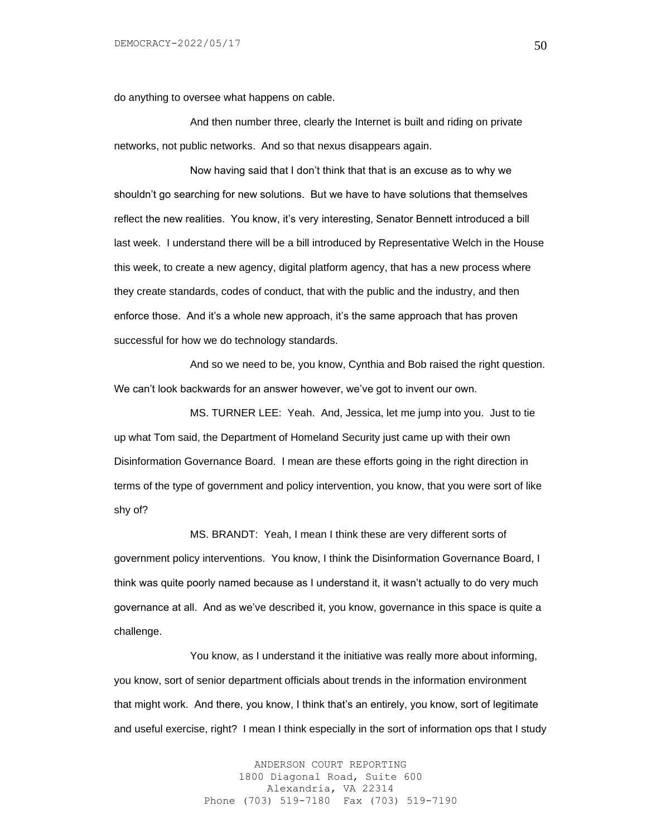do anything to oversee what happens on cable.

And then number three, clearly the Internet is built and riding on private networks, not public networks. And so that nexus disappears again.

Now having said that I don't think that that is an excuse as to why we shouldn't go searching for new solutions. But we have to have solutions that themselves reflect the new realities. You know, it's very interesting, Senator Bennett introduced a bill last week. I understand there will be a bill introduced by Representative Welch in the House this week, to create a new agency, digital platform agency, that has a new process where they create standards, codes of conduct, that with the public and the industry, and then enforce those. And it's a whole new approach, it's the same approach that has proven successful for how we do technology standards.

And so we need to be, you know, Cynthia and Bob raised the right question. We can't look backwards for an answer however, we've got to invent our own.

MS. TURNER LEE: Yeah. And, Jessica, let me jump into you. Just to tie up what Tom said, the Department of Homeland Security just came up with their own Disinformation Governance Board. I mean are these efforts going in the right direction in terms of the type of government and policy intervention, you know, that you were sort of like shy of?

MS. BRANDT: Yeah, I mean I think these are very different sorts of government policy interventions. You know, I think the Disinformation Governance Board, I think was quite poorly named because as I understand it, it wasn't actually to do very much governance at all. And as we've described it, you know, governance in this space is quite a challenge.

You know, as I understand it the initiative was really more about informing, you know, sort of senior department officials about trends in the information environment that might work. And there, you know, I think that's an entirely, you know, sort of legitimate and useful exercise, right? I mean I think especially in the sort of information ops that I study

> ANDERSON COURT REPORTING 1800 Diagonal Road, Suite 600 Alexandria, VA 22314 Phone (703) 519-7180 Fax (703) 519-7190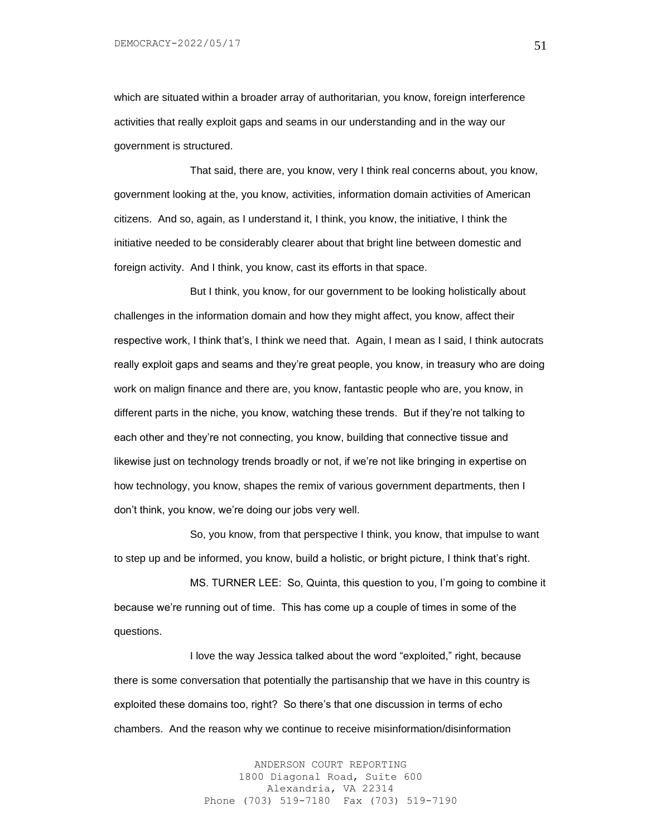which are situated within a broader array of authoritarian, you know, foreign interference activities that really exploit gaps and seams in our understanding and in the way our government is structured.

That said, there are, you know, very I think real concerns about, you know, government looking at the, you know, activities, information domain activities of American citizens. And so, again, as I understand it, I think, you know, the initiative, I think the initiative needed to be considerably clearer about that bright line between domestic and foreign activity. And I think, you know, cast its efforts in that space.

But I think, you know, for our government to be looking holistically about challenges in the information domain and how they might affect, you know, affect their respective work, I think that's, I think we need that. Again, I mean as I said, I think autocrats really exploit gaps and seams and they're great people, you know, in treasury who are doing work on malign finance and there are, you know, fantastic people who are, you know, in different parts in the niche, you know, watching these trends. But if they're not talking to each other and they're not connecting, you know, building that connective tissue and likewise just on technology trends broadly or not, if we're not like bringing in expertise on how technology, you know, shapes the remix of various government departments, then I don't think, you know, we're doing our jobs very well.

So, you know, from that perspective I think, you know, that impulse to want to step up and be informed, you know, build a holistic, or bright picture, I think that's right.

MS. TURNER LEE: So, Quinta, this question to you, I'm going to combine it because we're running out of time. This has come up a couple of times in some of the questions.

I love the way Jessica talked about the word "exploited," right, because there is some conversation that potentially the partisanship that we have in this country is exploited these domains too, right? So there's that one discussion in terms of echo chambers. And the reason why we continue to receive misinformation/disinformation

> ANDERSON COURT REPORTING 1800 Diagonal Road, Suite 600 Alexandria, VA 22314 Phone (703) 519-7180 Fax (703) 519-7190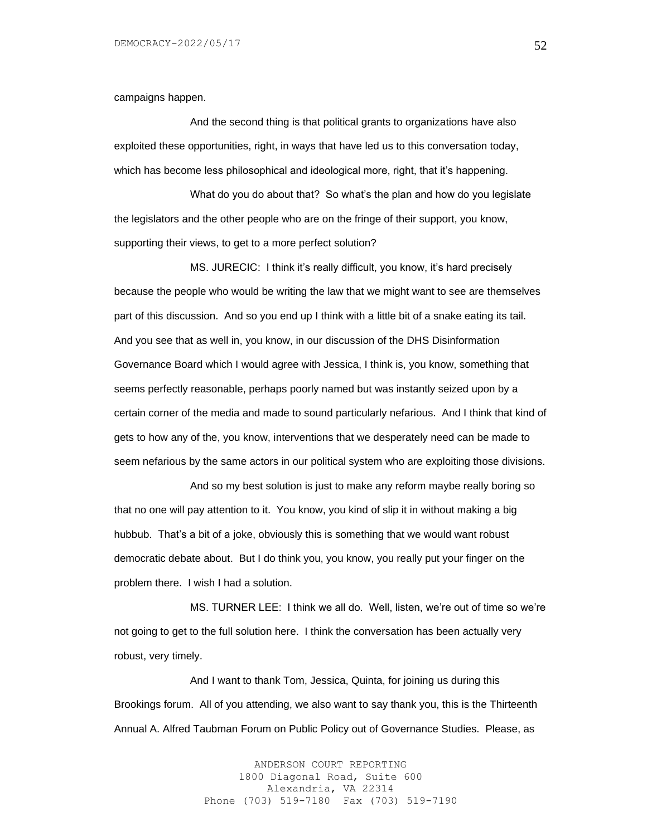campaigns happen.

And the second thing is that political grants to organizations have also exploited these opportunities, right, in ways that have led us to this conversation today, which has become less philosophical and ideological more, right, that it's happening.

What do you do about that? So what's the plan and how do you legislate the legislators and the other people who are on the fringe of their support, you know, supporting their views, to get to a more perfect solution?

MS. JURECIC: I think it's really difficult, you know, it's hard precisely because the people who would be writing the law that we might want to see are themselves part of this discussion. And so you end up I think with a little bit of a snake eating its tail. And you see that as well in, you know, in our discussion of the DHS Disinformation Governance Board which I would agree with Jessica, I think is, you know, something that seems perfectly reasonable, perhaps poorly named but was instantly seized upon by a certain corner of the media and made to sound particularly nefarious. And I think that kind of gets to how any of the, you know, interventions that we desperately need can be made to seem nefarious by the same actors in our political system who are exploiting those divisions.

And so my best solution is just to make any reform maybe really boring so that no one will pay attention to it. You know, you kind of slip it in without making a big hubbub. That's a bit of a joke, obviously this is something that we would want robust democratic debate about. But I do think you, you know, you really put your finger on the problem there. I wish I had a solution.

MS. TURNER LEE: I think we all do. Well, listen, we're out of time so we're not going to get to the full solution here. I think the conversation has been actually very robust, very timely.

And I want to thank Tom, Jessica, Quinta, for joining us during this Brookings forum. All of you attending, we also want to say thank you, this is the Thirteenth Annual A. Alfred Taubman Forum on Public Policy out of Governance Studies. Please, as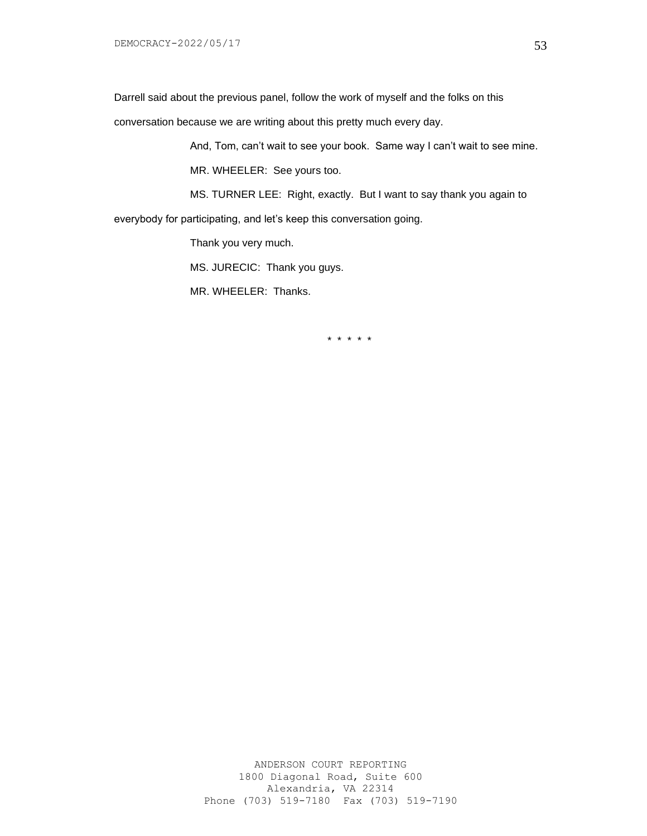Darrell said about the previous panel, follow the work of myself and the folks on this

conversation because we are writing about this pretty much every day.

And, Tom, can't wait to see your book. Same way I can't wait to see mine.

MR. WHEELER: See yours too.

MS. TURNER LEE: Right, exactly. But I want to say thank you again to everybody for participating, and let's keep this conversation going.

Thank you very much.

MS. JURECIC: Thank you guys.

MR. WHEELER: Thanks.

\* \* \* \* \*